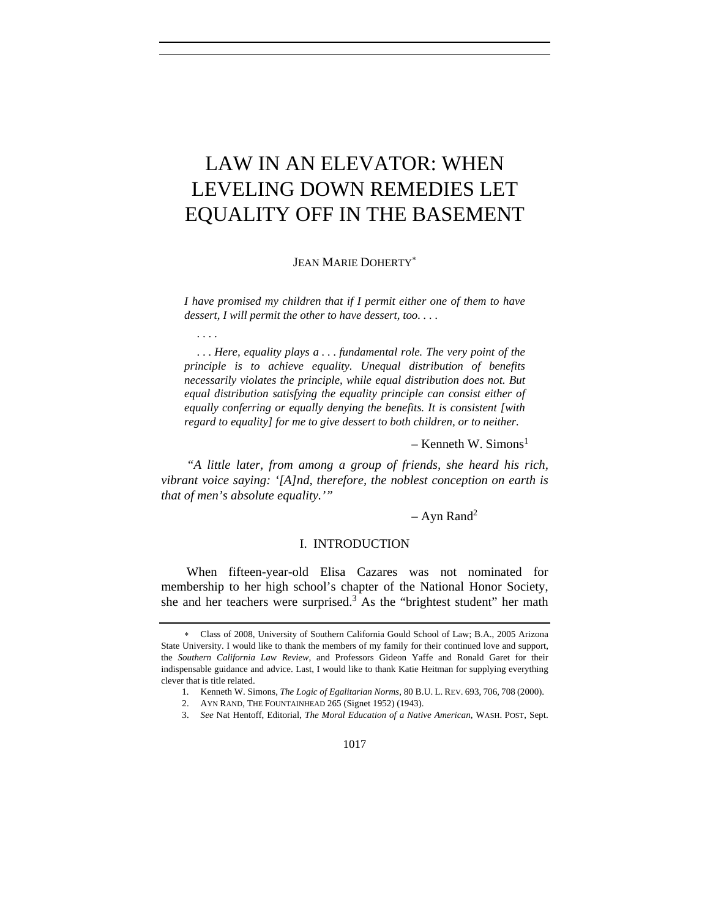# LAW IN AN ELEVATOR: WHEN LEVELING DOWN REMEDIES LET EQUALITY OFF IN THE BASEMENT

JEAN MARIE DOHERTY<sup>\*</sup>

*I have promised my children that if I permit either one of them to have dessert, I will permit the other to have dessert, too. . . .* 

 *. . . .* 

 *. . . Here, equality plays a . . . fundamental role. The very point of the principle is to achieve equality. Unequal distribution of benefits necessarily violates the principle, while equal distribution does not. But*  equal distribution satisfying the equality principle can consist either of *equally conferring or equally denying the benefits. It is consistent [with regard to equality] for me to give dessert to both children, or to neither.* 

– Kenneth W. Simons<sup>1</sup>

*"A little later, from among a group of friends, she heard his rich, vibrant voice saying: '[A]nd, therefore, the noblest conception on earth is that of men's absolute equality.'"* 

# $-$  Ayn Rand<sup>2</sup>

#### I. INTRODUCTION

When fifteen-year-old Elisa Cazares was not nominated for membership to her high school's chapter of the National Honor Society, she and her teachers were surprised. $3$  As the "brightest student" her math

<sup>∗</sup> Class of 2008, University of Southern California Gould School of Law; B.A., 2005 Arizona State University. I would like to thank the members of my family for their continued love and support, the *Southern California Law Review*, and Professors Gideon Yaffe and Ronald Garet for their indispensable guidance and advice. Last, I would like to thank Katie Heitman for supplying everything clever that is title related.

 <sup>1.</sup> Kenneth W. Simons, *The Logic of Egalitarian Norms*, 80 B.U. L. REV. 693, 706, 708 (2000).

 <sup>2.</sup> AYN RAND, THE FOUNTAINHEAD 265 (Signet 1952) (1943).

<sup>3.</sup> *See* Nat Hentoff, Editorial, *The Moral Education of a Native American*, WASH. POST, Sept.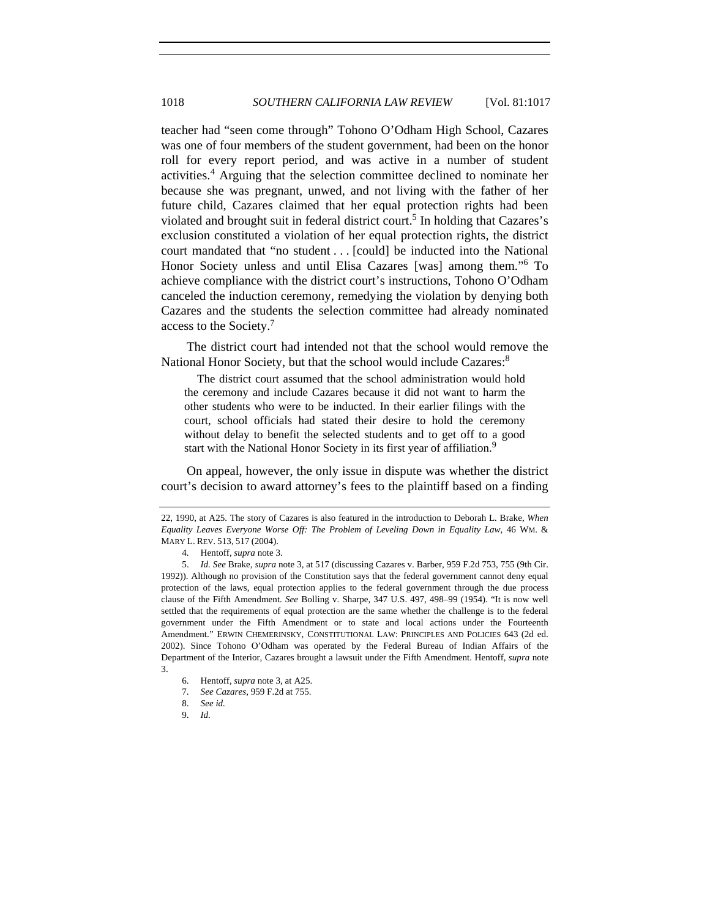teacher had "seen come through" Tohono O'Odham High School, Cazares was one of four members of the student government, had been on the honor roll for every report period, and was active in a number of student activities.<sup>4</sup> Arguing that the selection committee declined to nominate her because she was pregnant, unwed, and not living with the father of her future child, Cazares claimed that her equal protection rights had been violated and brought suit in federal district court.<sup>5</sup> In holding that Cazares's exclusion constituted a violation of her equal protection rights, the district court mandated that "no student . . . [could] be inducted into the National Honor Society unless and until Elisa Cazares [was] among them."<sup>6</sup> To achieve compliance with the district court's instructions, Tohono O'Odham canceled the induction ceremony, remedying the violation by denying both Cazares and the students the selection committee had already nominated access to the Society.7

The district court had intended not that the school would remove the National Honor Society, but that the school would include Cazares:<sup>8</sup>

 The district court assumed that the school administration would hold the ceremony and include Cazares because it did not want to harm the other students who were to be inducted. In their earlier filings with the court, school officials had stated their desire to hold the ceremony without delay to benefit the selected students and to get off to a good start with the National Honor Society in its first year of affiliation.<sup>9</sup>

On appeal, however, the only issue in dispute was whether the district court's decision to award attorney's fees to the plaintiff based on a finding

- 7. *See Cazares*, 959 F.2d at 755.
- 8. *See id.*

<sup>22, 1990,</sup> at A25. The story of Cazares is also featured in the introduction to Deborah L. Brake, *When Equality Leaves Everyone Worse Off: The Problem of Leveling Down in Equality Law*, 46 WM. & MARY L. REV. 513, 517 (2004).

 <sup>4.</sup> Hentoff, *supra* note 3.

<sup>5.</sup> *Id. See* Brake, *supra* note 3, at 517 (discussing Cazares v. Barber, 959 F.2d 753, 755 (9th Cir. 1992)). Although no provision of the Constitution says that the federal government cannot deny equal protection of the laws, equal protection applies to the federal government through the due process clause of the Fifth Amendment. *See* Bolling v. Sharpe, 347 U.S. 497, 498–99 (1954). "It is now well settled that the requirements of equal protection are the same whether the challenge is to the federal government under the Fifth Amendment or to state and local actions under the Fourteenth Amendment." ERWIN CHEMERINSKY, CONSTITUTIONAL LAW: PRINCIPLES AND POLICIES 643 (2d ed. 2002). Since Tohono O'Odham was operated by the Federal Bureau of Indian Affairs of the Department of the Interior, Cazares brought a lawsuit under the Fifth Amendment. Hentoff, *supra* note 3.

 <sup>6.</sup> Hentoff, *supra* note 3, at A25.

<sup>9.</sup> *Id.*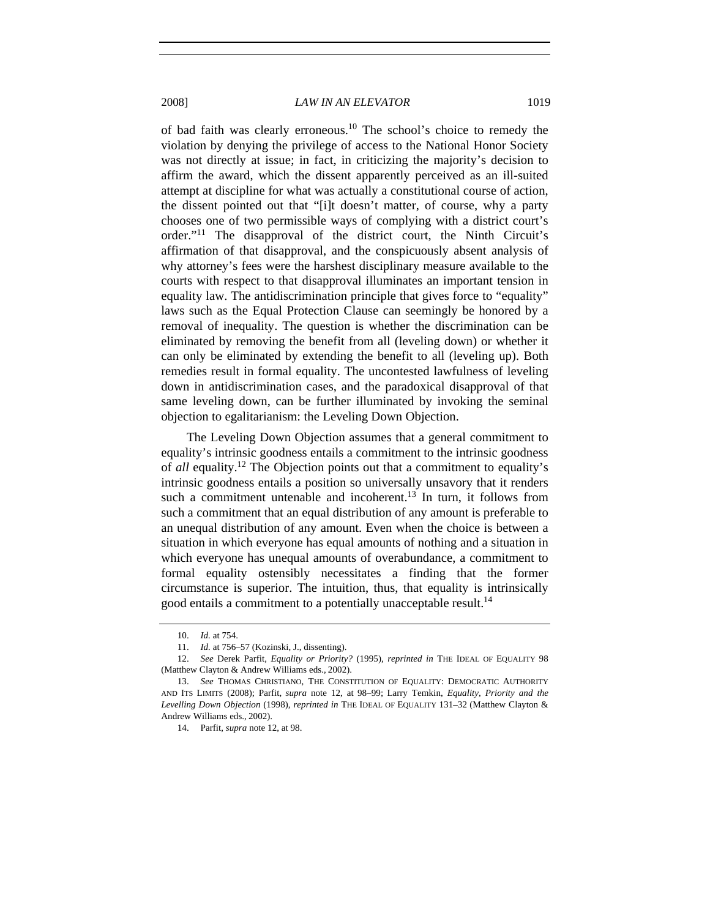of bad faith was clearly erroneous.10 The school's choice to remedy the violation by denying the privilege of access to the National Honor Society was not directly at issue; in fact, in criticizing the majority's decision to affirm the award, which the dissent apparently perceived as an ill-suited attempt at discipline for what was actually a constitutional course of action, the dissent pointed out that "[i]t doesn't matter, of course, why a party chooses one of two permissible ways of complying with a district court's order."11 The disapproval of the district court, the Ninth Circuit's affirmation of that disapproval, and the conspicuously absent analysis of why attorney's fees were the harshest disciplinary measure available to the courts with respect to that disapproval illuminates an important tension in equality law. The antidiscrimination principle that gives force to "equality" laws such as the Equal Protection Clause can seemingly be honored by a removal of inequality. The question is whether the discrimination can be eliminated by removing the benefit from all (leveling down) or whether it can only be eliminated by extending the benefit to all (leveling up). Both remedies result in formal equality. The uncontested lawfulness of leveling down in antidiscrimination cases, and the paradoxical disapproval of that same leveling down, can be further illuminated by invoking the seminal objection to egalitarianism: the Leveling Down Objection.

The Leveling Down Objection assumes that a general commitment to equality's intrinsic goodness entails a commitment to the intrinsic goodness of *all* equality.12 The Objection points out that a commitment to equality's intrinsic goodness entails a position so universally unsavory that it renders such a commitment untenable and incoherent.<sup>13</sup> In turn, it follows from such a commitment that an equal distribution of any amount is preferable to an unequal distribution of any amount. Even when the choice is between a situation in which everyone has equal amounts of nothing and a situation in which everyone has unequal amounts of overabundance, a commitment to formal equality ostensibly necessitates a finding that the former circumstance is superior. The intuition, thus, that equality is intrinsically good entails a commitment to a potentially unacceptable result.<sup>14</sup>

<sup>10.</sup> *Id.* at 754.

<sup>11.</sup> *Id.* at 756–57 (Kozinski, J., dissenting).

<sup>12.</sup> *See* Derek Parfit, *Equality or Priority?* (1995), *reprinted in* THE IDEAL OF EQUALITY 98 (Matthew Clayton & Andrew Williams eds., 2002).

<sup>13.</sup> *See* THOMAS CHRISTIANO, THE CONSTITUTION OF EQUALITY: DEMOCRATIC AUTHORITY AND ITS LIMITS (2008); Parfit, *supra* note 12, at 98–99; Larry Temkin, *Equality, Priority and the Levelling Down Objection* (1998), *reprinted in* THE IDEAL OF EQUALITY 131–32 (Matthew Clayton & Andrew Williams eds., 2002).

<sup>14.</sup> Parfit, *supra* note 12, at 98.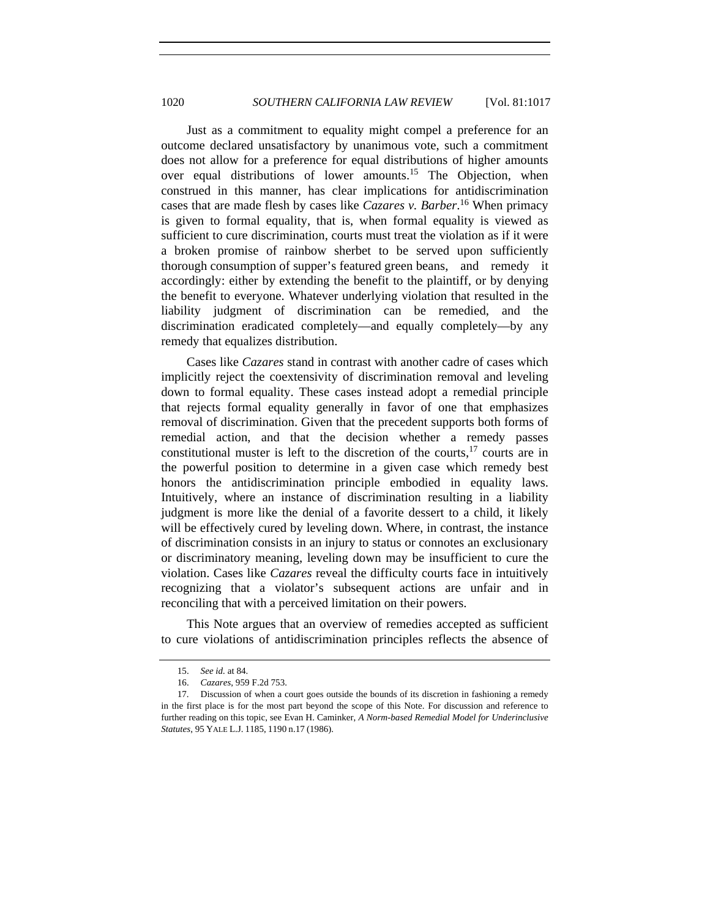Just as a commitment to equality might compel a preference for an outcome declared unsatisfactory by unanimous vote, such a commitment does not allow for a preference for equal distributions of higher amounts over equal distributions of lower amounts.<sup>15</sup> The Objection, when construed in this manner, has clear implications for antidiscrimination cases that are made flesh by cases like *Cazares v. Barber*. 16 When primacy is given to formal equality, that is, when formal equality is viewed as sufficient to cure discrimination, courts must treat the violation as if it were a broken promise of rainbow sherbet to be served upon sufficiently thorough consumption of supper's featured green beans, and remedy it accordingly: either by extending the benefit to the plaintiff, or by denying the benefit to everyone. Whatever underlying violation that resulted in the liability judgment of discrimination can be remedied, and the discrimination eradicated completely—and equally completely—by any remedy that equalizes distribution.

Cases like *Cazares* stand in contrast with another cadre of cases which implicitly reject the coextensivity of discrimination removal and leveling down to formal equality. These cases instead adopt a remedial principle that rejects formal equality generally in favor of one that emphasizes removal of discrimination. Given that the precedent supports both forms of remedial action, and that the decision whether a remedy passes constitutional muster is left to the discretion of the courts,17 courts are in the powerful position to determine in a given case which remedy best honors the antidiscrimination principle embodied in equality laws. Intuitively, where an instance of discrimination resulting in a liability judgment is more like the denial of a favorite dessert to a child, it likely will be effectively cured by leveling down. Where, in contrast, the instance of discrimination consists in an injury to status or connotes an exclusionary or discriminatory meaning, leveling down may be insufficient to cure the violation. Cases like *Cazares* reveal the difficulty courts face in intuitively recognizing that a violator's subsequent actions are unfair and in reconciling that with a perceived limitation on their powers.

This Note argues that an overview of remedies accepted as sufficient to cure violations of antidiscrimination principles reflects the absence of

<sup>15.</sup> *See id.* at 84.

 <sup>16.</sup> *Cazares*, 959 F.2d 753.

 <sup>17.</sup> Discussion of when a court goes outside the bounds of its discretion in fashioning a remedy in the first place is for the most part beyond the scope of this Note. For discussion and reference to further reading on this topic, see Evan H. Caminker, *A Norm-based Remedial Model for Underinclusive Statutes*, 95 YALE L.J. 1185, 1190 n.17 (1986).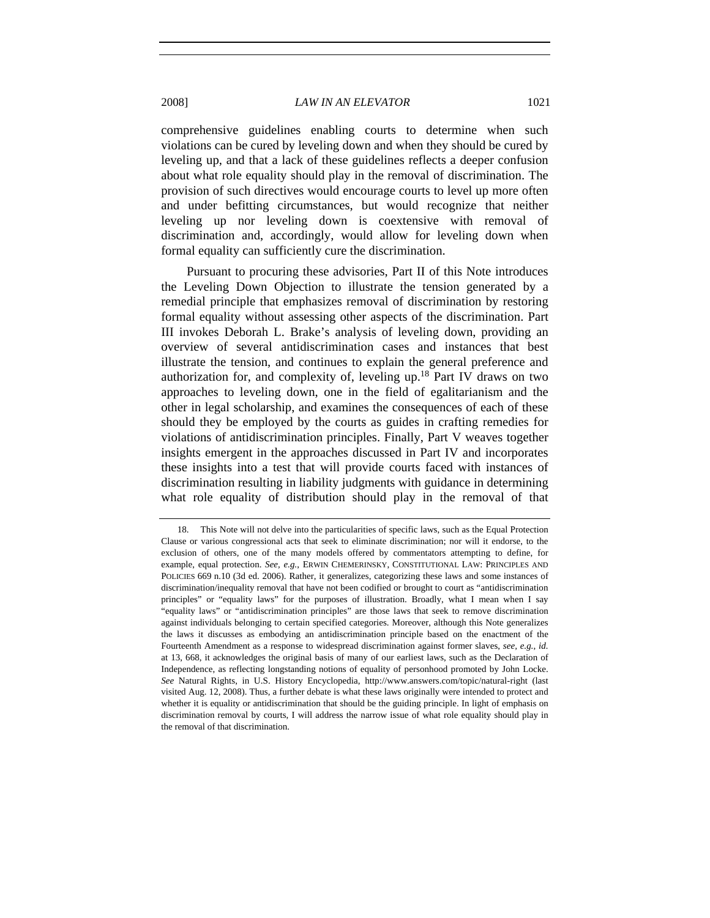comprehensive guidelines enabling courts to determine when such violations can be cured by leveling down and when they should be cured by leveling up, and that a lack of these guidelines reflects a deeper confusion about what role equality should play in the removal of discrimination. The provision of such directives would encourage courts to level up more often and under befitting circumstances, but would recognize that neither leveling up nor leveling down is coextensive with removal of discrimination and, accordingly, would allow for leveling down when formal equality can sufficiently cure the discrimination.

Pursuant to procuring these advisories, Part II of this Note introduces the Leveling Down Objection to illustrate the tension generated by a remedial principle that emphasizes removal of discrimination by restoring formal equality without assessing other aspects of the discrimination. Part III invokes Deborah L. Brake's analysis of leveling down, providing an overview of several antidiscrimination cases and instances that best illustrate the tension, and continues to explain the general preference and authorization for, and complexity of, leveling up.18 Part IV draws on two approaches to leveling down, one in the field of egalitarianism and the other in legal scholarship, and examines the consequences of each of these should they be employed by the courts as guides in crafting remedies for violations of antidiscrimination principles. Finally, Part V weaves together insights emergent in the approaches discussed in Part IV and incorporates these insights into a test that will provide courts faced with instances of discrimination resulting in liability judgments with guidance in determining what role equality of distribution should play in the removal of that

 <sup>18.</sup> This Note will not delve into the particularities of specific laws, such as the Equal Protection Clause or various congressional acts that seek to eliminate discrimination; nor will it endorse, to the exclusion of others, one of the many models offered by commentators attempting to define, for example, equal protection. *See, e.g.*, ERWIN CHEMERINSKY, CONSTITUTIONAL LAW: PRINCIPLES AND POLICIES 669 n.10 (3d ed. 2006). Rather, it generalizes, categorizing these laws and some instances of discrimination/inequality removal that have not been codified or brought to court as "antidiscrimination principles" or "equality laws" for the purposes of illustration. Broadly, what I mean when I say "equality laws" or "antidiscrimination principles" are those laws that seek to remove discrimination against individuals belonging to certain specified categories. Moreover, although this Note generalizes the laws it discusses as embodying an antidiscrimination principle based on the enactment of the Fourteenth Amendment as a response to widespread discrimination against former slaves, *see, e.g.*, *id.*  at 13, 668, it acknowledges the original basis of many of our earliest laws, such as the Declaration of Independence, as reflecting longstanding notions of equality of personhood promoted by John Locke. *See* Natural Rights, in U.S. History Encyclopedia, http://www.answers.com/topic/natural-right (last visited Aug. 12, 2008). Thus, a further debate is what these laws originally were intended to protect and whether it is equality or antidiscrimination that should be the guiding principle. In light of emphasis on discrimination removal by courts, I will address the narrow issue of what role equality should play in the removal of that discrimination.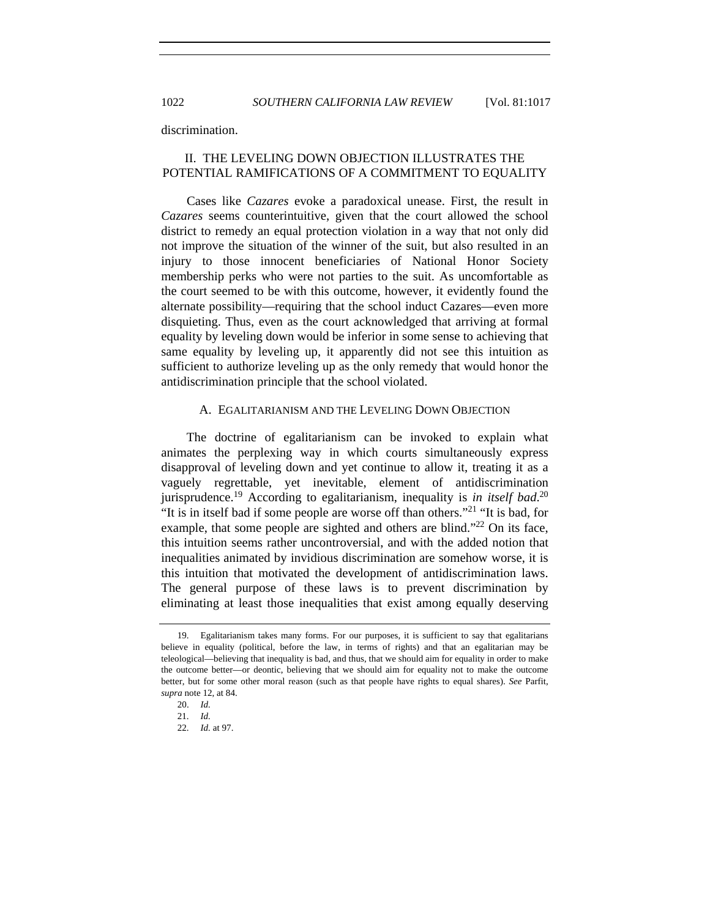1022 *SOUTHERN CALIFORNIA LAW REVIEW* [Vol. 81:1017

discrimination.

# II. THE LEVELING DOWN OBJECTION ILLUSTRATES THE POTENTIAL RAMIFICATIONS OF A COMMITMENT TO EQUALITY

Cases like *Cazares* evoke a paradoxical unease. First, the result in *Cazares* seems counterintuitive, given that the court allowed the school district to remedy an equal protection violation in a way that not only did not improve the situation of the winner of the suit, but also resulted in an injury to those innocent beneficiaries of National Honor Society membership perks who were not parties to the suit. As uncomfortable as the court seemed to be with this outcome, however, it evidently found the alternate possibility—requiring that the school induct Cazares—even more disquieting. Thus, even as the court acknowledged that arriving at formal equality by leveling down would be inferior in some sense to achieving that same equality by leveling up, it apparently did not see this intuition as sufficient to authorize leveling up as the only remedy that would honor the antidiscrimination principle that the school violated.

## A. EGALITARIANISM AND THE LEVELING DOWN OBJECTION

The doctrine of egalitarianism can be invoked to explain what animates the perplexing way in which courts simultaneously express disapproval of leveling down and yet continue to allow it, treating it as a vaguely regrettable, yet inevitable, element of antidiscrimination jurisprudence.<sup>19</sup> According to egalitarianism, inequality is *in itself bad*. 20 "It is in itself bad if some people are worse off than others."21 "It is bad, for example, that some people are sighted and others are blind."<sup>22</sup> On its face, this intuition seems rather uncontroversial, and with the added notion that inequalities animated by invidious discrimination are somehow worse, it is this intuition that motivated the development of antidiscrimination laws. The general purpose of these laws is to prevent discrimination by eliminating at least those inequalities that exist among equally deserving

 <sup>19.</sup> Egalitarianism takes many forms. For our purposes, it is sufficient to say that egalitarians believe in equality (political, before the law, in terms of rights) and that an egalitarian may be teleological—believing that inequality is bad, and thus, that we should aim for equality in order to make the outcome better—or deontic, believing that we should aim for equality not to make the outcome better, but for some other moral reason (such as that people have rights to equal shares). *See* Parfit, *supra* note 12, at 84.

<sup>20.</sup> *Id.*

<sup>21.</sup> *Id.*

<sup>22.</sup> *Id.* at 97.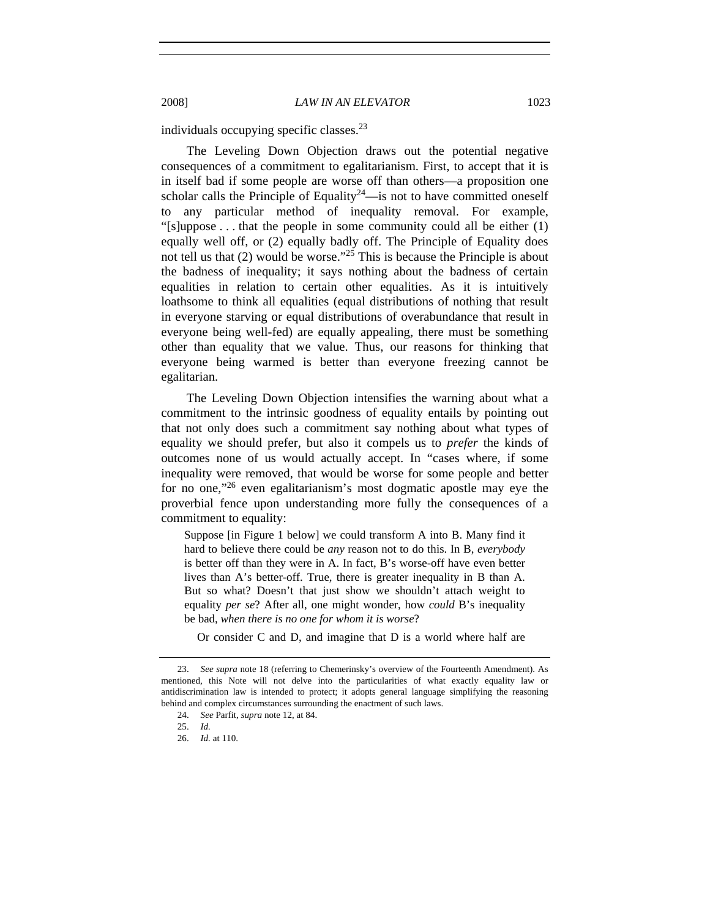individuals occupying specific classes.23

The Leveling Down Objection draws out the potential negative consequences of a commitment to egalitarianism. First, to accept that it is in itself bad if some people are worse off than others—a proposition one scholar calls the Principle of Equality<sup>24</sup>—is not to have committed oneself to any particular method of inequality removal. For example, "[s]uppose  $\dots$  that the people in some community could all be either  $(1)$ equally well off, or (2) equally badly off. The Principle of Equality does not tell us that  $(2)$  would be worse."<sup>25</sup> This is because the Principle is about the badness of inequality; it says nothing about the badness of certain equalities in relation to certain other equalities. As it is intuitively loathsome to think all equalities (equal distributions of nothing that result in everyone starving or equal distributions of overabundance that result in everyone being well-fed) are equally appealing, there must be something other than equality that we value. Thus, our reasons for thinking that everyone being warmed is better than everyone freezing cannot be egalitarian.

The Leveling Down Objection intensifies the warning about what a commitment to the intrinsic goodness of equality entails by pointing out that not only does such a commitment say nothing about what types of equality we should prefer, but also it compels us to *prefer* the kinds of outcomes none of us would actually accept. In "cases where, if some inequality were removed, that would be worse for some people and better for no one,"26 even egalitarianism's most dogmatic apostle may eye the proverbial fence upon understanding more fully the consequences of a commitment to equality:

Suppose [in Figure 1 below] we could transform A into B. Many find it hard to believe there could be *any* reason not to do this. In B, *everybody*  is better off than they were in A. In fact, B's worse-off have even better lives than A's better-off. True, there is greater inequality in B than A. But so what? Doesn't that just show we shouldn't attach weight to equality *per se*? After all, one might wonder, how *could* B's inequality be bad, *when there is no one for whom it is worse*?

Or consider C and D, and imagine that D is a world where half are

<sup>23.</sup> *See supra* note 18 (referring to Chemerinsky's overview of the Fourteenth Amendment). As mentioned, this Note will not delve into the particularities of what exactly equality law or antidiscrimination law is intended to protect; it adopts general language simplifying the reasoning behind and complex circumstances surrounding the enactment of such laws.

 <sup>24.</sup> *See* Parfit, *supra* note 12, at 84.

 <sup>25.</sup> *Id.*

<sup>26.</sup> *Id.* at 110.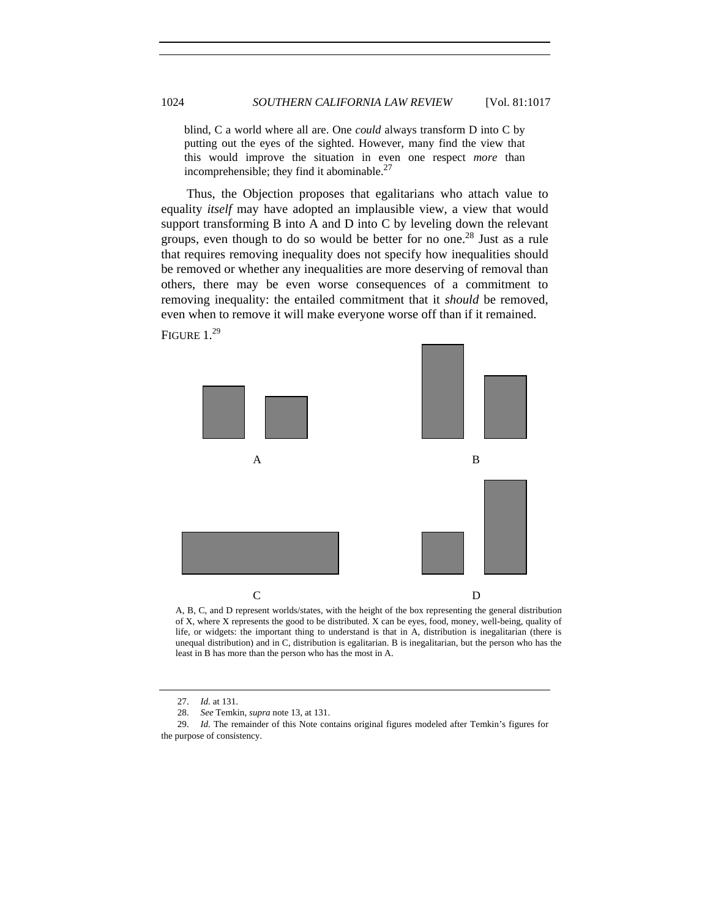blind, C a world where all are. One *could* always transform D into C by putting out the eyes of the sighted. However, many find the view that this would improve the situation in even one respect *more* than incomprehensible; they find it abominable.27

Thus, the Objection proposes that egalitarians who attach value to equality *itself* may have adopted an implausible view, a view that would support transforming B into A and D into C by leveling down the relevant groups, even though to do so would be better for no one.<sup>28</sup> Just as a rule that requires removing inequality does not specify how inequalities should be removed or whether any inequalities are more deserving of removal than others, there may be even worse consequences of a commitment to removing inequality: the entailed commitment that it *should* be removed, even when to remove it will make everyone worse off than if it remained.

FIGURE 1.<sup>29</sup>



A, B, C, and D represent worlds/states, with the height of the box representing the general distribution of X, where X represents the good to be distributed. X can be eyes, food, money, well-being, quality of life, or widgets: the important thing to understand is that in A, distribution is inegalitarian (there is unequal distribution) and in C, distribution is egalitarian. B is inegalitarian, but the person who has the least in B has more than the person who has the most in A.

<sup>27.</sup> *Id.* at 131.

<sup>28.</sup> *See* Temkin, *supra* note 13, at 131.

 <sup>29.</sup> *Id.* The remainder of this Note contains original figures modeled after Temkin's figures for the purpose of consistency.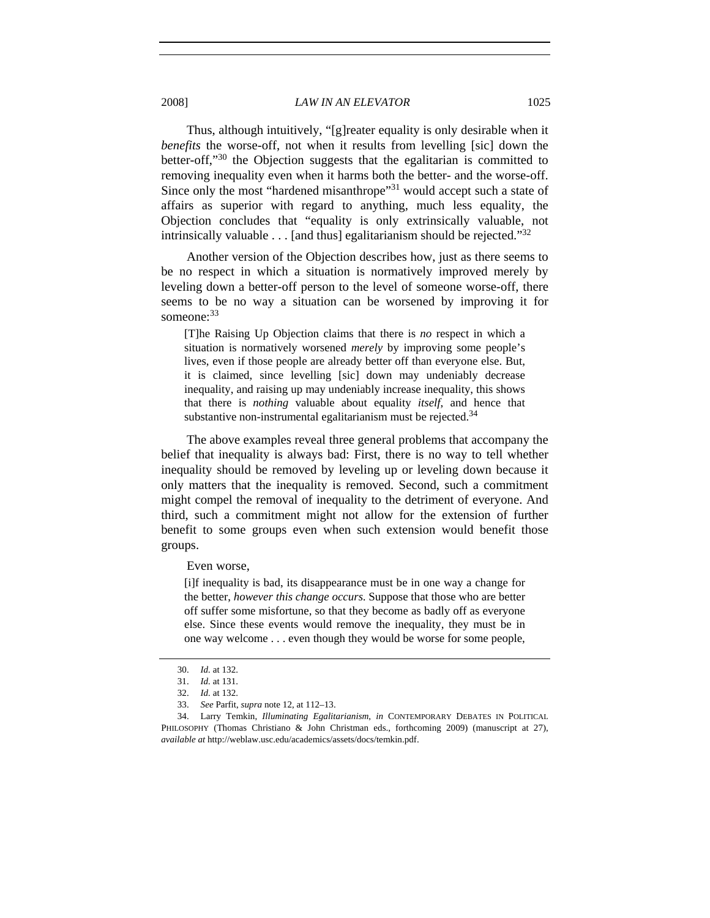Thus, although intuitively, "[g]reater equality is only desirable when it *benefits* the worse-off, not when it results from levelling [sic] down the better-off,"30 the Objection suggests that the egalitarian is committed to removing inequality even when it harms both the better- and the worse-off. Since only the most "hardened misanthrope"<sup>31</sup> would accept such a state of affairs as superior with regard to anything, much less equality, the Objection concludes that "equality is only extrinsically valuable, not intrinsically valuable  $\dots$  [and thus] egalitarianism should be rejected." $32$ 

Another version of the Objection describes how, just as there seems to be no respect in which a situation is normatively improved merely by leveling down a better-off person to the level of someone worse-off, there seems to be no way a situation can be worsened by improving it for someone:<sup>33</sup>

[T]he Raising Up Objection claims that there is *no* respect in which a situation is normatively worsened *merely* by improving some people's lives, even if those people are already better off than everyone else. But, it is claimed, since levelling [sic] down may undeniably decrease inequality, and raising up may undeniably increase inequality, this shows that there is *nothing* valuable about equality *itself*, and hence that substantive non-instrumental egalitarianism must be rejected.<sup>34</sup>

The above examples reveal three general problems that accompany the belief that inequality is always bad: First, there is no way to tell whether inequality should be removed by leveling up or leveling down because it only matters that the inequality is removed. Second, such a commitment might compel the removal of inequality to the detriment of everyone. And third, such a commitment might not allow for the extension of further benefit to some groups even when such extension would benefit those groups.

Even worse,

[i]f inequality is bad, its disappearance must be in one way a change for the better, *however this change occurs*. Suppose that those who are better off suffer some misfortune, so that they become as badly off as everyone else. Since these events would remove the inequality, they must be in one way welcome . . . even though they would be worse for some people,

<sup>30.</sup> *Id.* at 132.

<sup>31.</sup> *Id.* at 131.

<sup>32.</sup> *Id.* at 132.

 <sup>33.</sup> *See* Parfit, *supra* note 12, at 112–13.

<sup>34.</sup> Larry Temkin, *Illuminating Egalitarianism*, *in* CONTEMPORARY DEBATES IN POLITICAL PHILOSOPHY (Thomas Christiano & John Christman eds., forthcoming 2009) (manuscript at 27), *available at* http://weblaw.usc.edu/academics/assets/docs/temkin.pdf.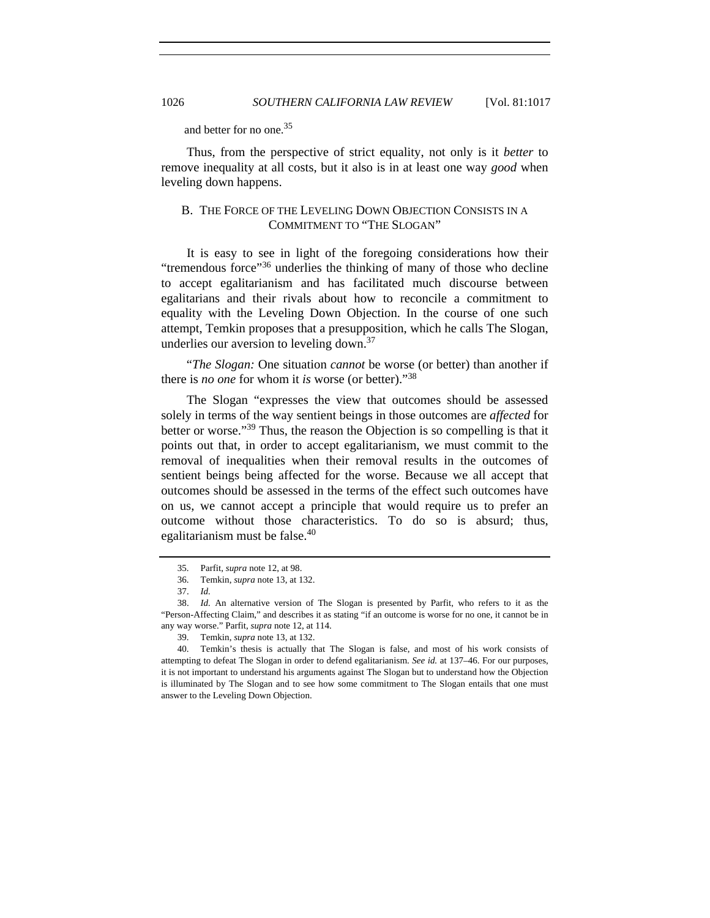and better for no one.<sup>35</sup>

Thus, from the perspective of strict equality, not only is it *better* to remove inequality at all costs, but it also is in at least one way *good* when leveling down happens.

# B. THE FORCE OF THE LEVELING DOWN OBJECTION CONSISTS IN A COMMITMENT TO "THE SLOGAN"

It is easy to see in light of the foregoing considerations how their "tremendous force"36 underlies the thinking of many of those who decline to accept egalitarianism and has facilitated much discourse between egalitarians and their rivals about how to reconcile a commitment to equality with the Leveling Down Objection. In the course of one such attempt, Temkin proposes that a presupposition, which he calls The Slogan, underlies our aversion to leveling down.<sup>37</sup>

"*The Slogan:* One situation *cannot* be worse (or better) than another if there is *no one* for whom it *is* worse (or better)."<sup>38</sup>

The Slogan "expresses the view that outcomes should be assessed solely in terms of the way sentient beings in those outcomes are *affected* for better or worse."39 Thus, the reason the Objection is so compelling is that it points out that, in order to accept egalitarianism, we must commit to the removal of inequalities when their removal results in the outcomes of sentient beings being affected for the worse. Because we all accept that outcomes should be assessed in the terms of the effect such outcomes have on us, we cannot accept a principle that would require us to prefer an outcome without those characteristics. To do so is absurd; thus, egalitarianism must be false.<sup>40</sup>

 <sup>35.</sup> Parfit, *supra* note 12, at 98.

 <sup>36.</sup> Temkin, *supra* note 13, at 132.

<sup>37.</sup> *Id.*

<sup>38.</sup> *Id.* An alternative version of The Slogan is presented by Parfit, who refers to it as the "Person-Affecting Claim," and describes it as stating "if an outcome is worse for no one, it cannot be in any way worse." Parfit, *supra* note 12, at 114.

 <sup>39.</sup> Temkin, *supra* note 13, at 132.

 <sup>40.</sup> Temkin's thesis is actually that The Slogan is false, and most of his work consists of attempting to defeat The Slogan in order to defend egalitarianism. *See id.* at 137–46. For our purposes, it is not important to understand his arguments against The Slogan but to understand how the Objection is illuminated by The Slogan and to see how some commitment to The Slogan entails that one must answer to the Leveling Down Objection.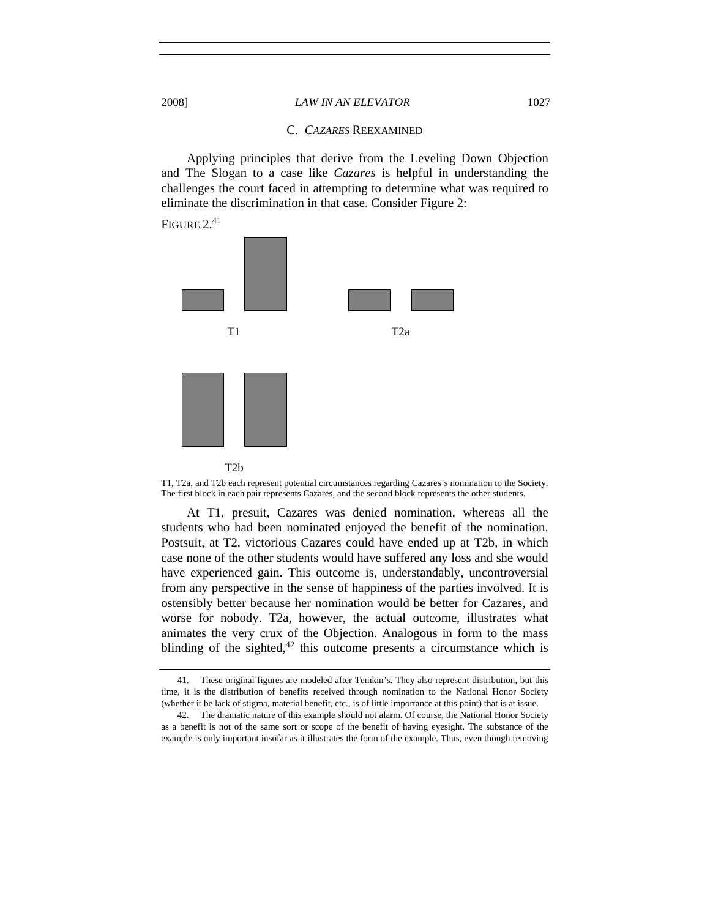#### C. *CAZARES* REEXAMINED

Applying principles that derive from the Leveling Down Objection and The Slogan to a case like *Cazares* is helpful in understanding the challenges the court faced in attempting to determine what was required to eliminate the discrimination in that case. Consider Figure 2:

FIGURE 2.41



T1, T2a, and T2b each represent potential circumstances regarding Cazares's nomination to the Society. The first block in each pair represents Cazares, and the second block represents the other students.

At T1, presuit, Cazares was denied nomination, whereas all the students who had been nominated enjoyed the benefit of the nomination. Postsuit, at T2, victorious Cazares could have ended up at T2b, in which case none of the other students would have suffered any loss and she would have experienced gain. This outcome is, understandably, uncontroversial from any perspective in the sense of happiness of the parties involved. It is ostensibly better because her nomination would be better for Cazares, and worse for nobody. T2a, however, the actual outcome, illustrates what animates the very crux of the Objection. Analogous in form to the mass blinding of the sighted, $42$  this outcome presents a circumstance which is

 <sup>41.</sup> These original figures are modeled after Temkin's. They also represent distribution, but this time, it is the distribution of benefits received through nomination to the National Honor Society (whether it be lack of stigma, material benefit, etc., is of little importance at this point) that is at issue.

 <sup>42.</sup> The dramatic nature of this example should not alarm. Of course, the National Honor Society as a benefit is not of the same sort or scope of the benefit of having eyesight. The substance of the example is only important insofar as it illustrates the form of the example. Thus, even though removing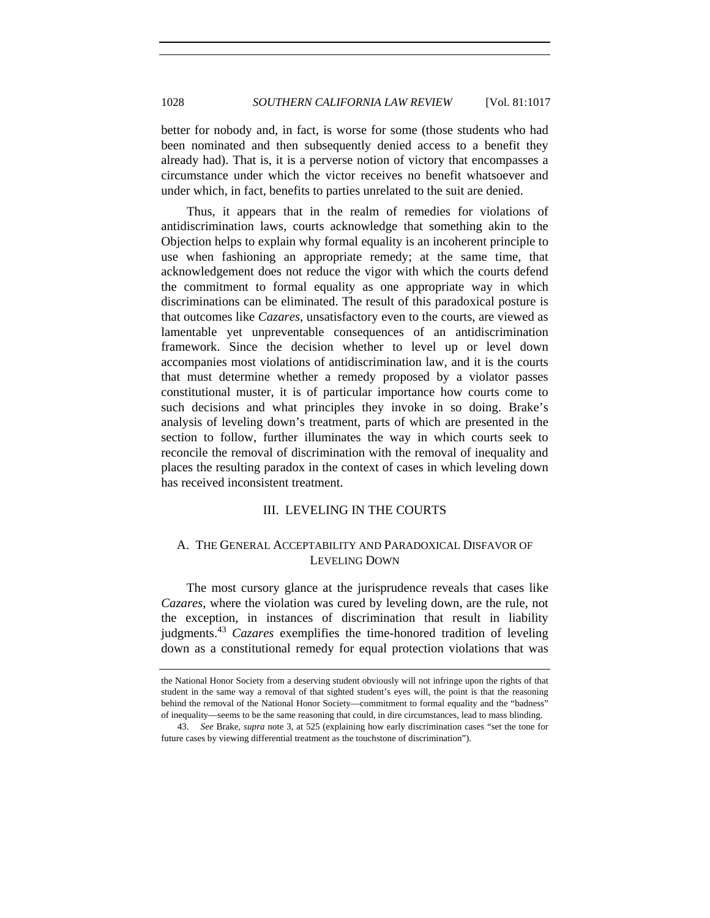better for nobody and, in fact, is worse for some (those students who had been nominated and then subsequently denied access to a benefit they already had). That is, it is a perverse notion of victory that encompasses a circumstance under which the victor receives no benefit whatsoever and under which, in fact, benefits to parties unrelated to the suit are denied.

Thus, it appears that in the realm of remedies for violations of antidiscrimination laws, courts acknowledge that something akin to the Objection helps to explain why formal equality is an incoherent principle to use when fashioning an appropriate remedy; at the same time, that acknowledgement does not reduce the vigor with which the courts defend the commitment to formal equality as one appropriate way in which discriminations can be eliminated. The result of this paradoxical posture is that outcomes like *Cazares*, unsatisfactory even to the courts, are viewed as lamentable yet unpreventable consequences of an antidiscrimination framework. Since the decision whether to level up or level down accompanies most violations of antidiscrimination law, and it is the courts that must determine whether a remedy proposed by a violator passes constitutional muster, it is of particular importance how courts come to such decisions and what principles they invoke in so doing. Brake's analysis of leveling down's treatment, parts of which are presented in the section to follow, further illuminates the way in which courts seek to reconcile the removal of discrimination with the removal of inequality and places the resulting paradox in the context of cases in which leveling down has received inconsistent treatment.

## III. LEVELING IN THE COURTS

## A. THE GENERAL ACCEPTABILITY AND PARADOXICAL DISFAVOR OF LEVELING DOWN

The most cursory glance at the jurisprudence reveals that cases like *Cazares*, where the violation was cured by leveling down, are the rule, not the exception, in instances of discrimination that result in liability judgments.<sup>43</sup> *Cazares* exemplifies the time-honored tradition of leveling down as a constitutional remedy for equal protection violations that was

the National Honor Society from a deserving student obviously will not infringe upon the rights of that student in the same way a removal of that sighted student's eyes will, the point is that the reasoning behind the removal of the National Honor Society—commitment to formal equality and the "badness" of inequality—seems to be the same reasoning that could, in dire circumstances, lead to mass blinding.

<sup>43.</sup> *See* Brake, *supra* note 3, at 525 (explaining how early discrimination cases "set the tone for future cases by viewing differential treatment as the touchstone of discrimination").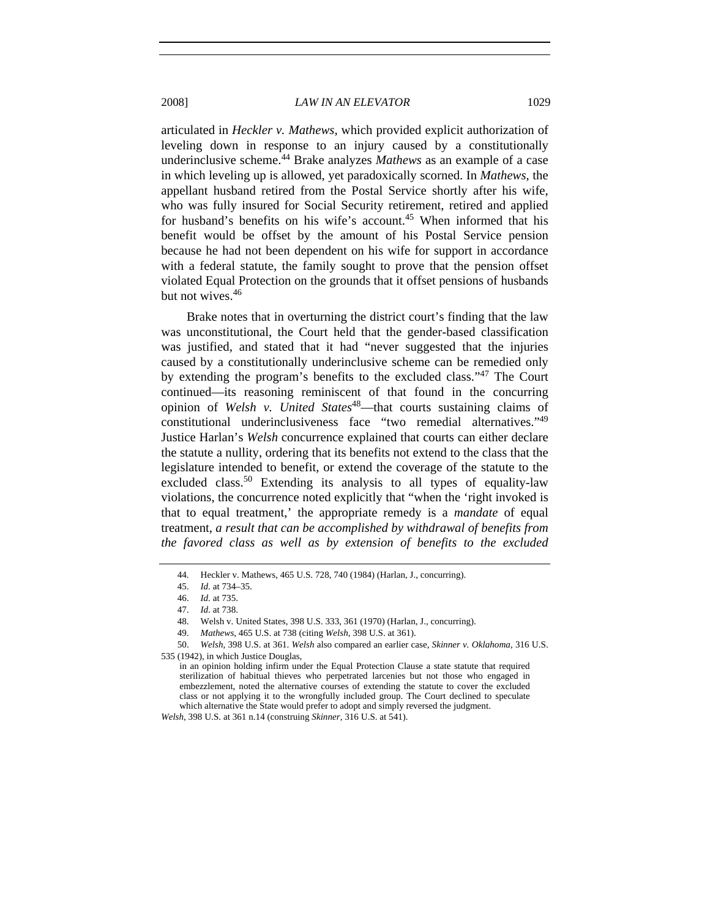articulated in *Heckler v. Mathews*, which provided explicit authorization of leveling down in response to an injury caused by a constitutionally underinclusive scheme.44 Brake analyzes *Mathews* as an example of a case in which leveling up is allowed, yet paradoxically scorned. In *Mathews*, the appellant husband retired from the Postal Service shortly after his wife, who was fully insured for Social Security retirement, retired and applied for husband's benefits on his wife's account.<sup>45</sup> When informed that his benefit would be offset by the amount of his Postal Service pension because he had not been dependent on his wife for support in accordance with a federal statute, the family sought to prove that the pension offset violated Equal Protection on the grounds that it offset pensions of husbands but not wives.<sup>46</sup>

Brake notes that in overturning the district court's finding that the law was unconstitutional, the Court held that the gender-based classification was justified, and stated that it had "never suggested that the injuries caused by a constitutionally underinclusive scheme can be remedied only by extending the program's benefits to the excluded class."47 The Court continued—its reasoning reminiscent of that found in the concurring opinion of *Welsh v. United States*<sup>48</sup>—that courts sustaining claims of constitutional underinclusiveness face "two remedial alternatives."49 Justice Harlan's *Welsh* concurrence explained that courts can either declare the statute a nullity, ordering that its benefits not extend to the class that the legislature intended to benefit, or extend the coverage of the statute to the excluded class.<sup>50</sup> Extending its analysis to all types of equality-law violations, the concurrence noted explicitly that "when the 'right invoked is that to equal treatment,' the appropriate remedy is a *mandate* of equal treatment, *a result that can be accomplished by withdrawal of benefits from the favored class as well as by extension of benefits to the excluded* 

 <sup>44.</sup> Heckler v. Mathews, 465 U.S. 728, 740 (1984) (Harlan, J., concurring).

<sup>45.</sup> *Id.* at 734–35.

<sup>46.</sup> *Id.* at 735.

<sup>47.</sup> *Id.* at 738.

 <sup>48.</sup> Welsh v. United States, 398 U.S. 333, 361 (1970) (Harlan, J., concurring).

 <sup>49.</sup> *Mathews*, 465 U.S. at 738 (citing *Welsh*, 398 U.S. at 361).

<sup>50.</sup> *Welsh*, 398 U.S. at 361. *Welsh* also compared an earlier case, *Skinner v. Oklahoma*, 316 U.S. 535 (1942), in which Justice Douglas,

in an opinion holding infirm under the Equal Protection Clause a state statute that required sterilization of habitual thieves who perpetrated larcenies but not those who engaged in embezzlement, noted the alternative courses of extending the statute to cover the excluded class or not applying it to the wrongfully included group. The Court declined to speculate which alternative the State would prefer to adopt and simply reversed the judgment.

*Welsh*, 398 U.S. at 361 n.14 (construing *Skinner*, 316 U.S. at 541).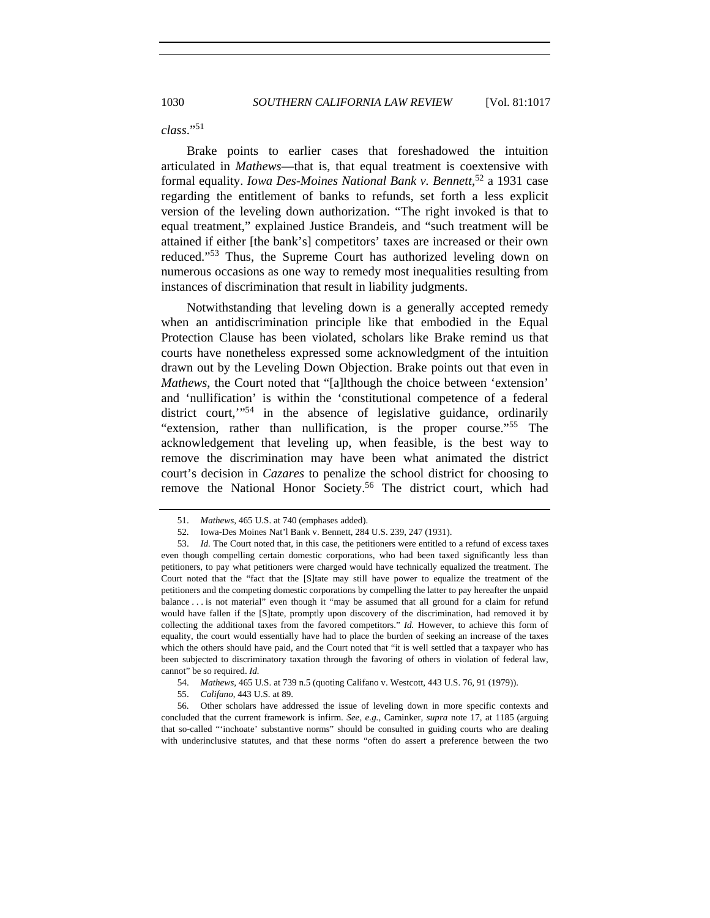### *class*."<sup>51</sup>

Brake points to earlier cases that foreshadowed the intuition articulated in *Mathews*—that is, that equal treatment is coextensive with formal equality. *Iowa Des-Moines National Bank v. Bennett*, 52 a 1931 case regarding the entitlement of banks to refunds, set forth a less explicit version of the leveling down authorization. "The right invoked is that to equal treatment," explained Justice Brandeis, and "such treatment will be attained if either [the bank's] competitors' taxes are increased or their own reduced."53 Thus, the Supreme Court has authorized leveling down on numerous occasions as one way to remedy most inequalities resulting from instances of discrimination that result in liability judgments.

Notwithstanding that leveling down is a generally accepted remedy when an antidiscrimination principle like that embodied in the Equal Protection Clause has been violated, scholars like Brake remind us that courts have nonetheless expressed some acknowledgment of the intuition drawn out by the Leveling Down Objection. Brake points out that even in *Mathews*, the Court noted that "[a]lthough the choice between 'extension' and 'nullification' is within the 'constitutional competence of a federal district court,"<sup>54</sup> in the absence of legislative guidance, ordinarily "extension, rather than nullification, is the proper course."55 The acknowledgement that leveling up, when feasible, is the best way to remove the discrimination may have been what animated the district court's decision in *Cazares* to penalize the school district for choosing to remove the National Honor Society.<sup>56</sup> The district court, which had

<sup>51.</sup> *Mathews*, 465 U.S. at 740 (emphases added).

 <sup>52.</sup> Iowa-Des Moines Nat'l Bank v. Bennett, 284 U.S. 239, 247 (1931).

<sup>53.</sup> *Id.* The Court noted that, in this case, the petitioners were entitled to a refund of excess taxes even though compelling certain domestic corporations, who had been taxed significantly less than petitioners, to pay what petitioners were charged would have technically equalized the treatment. The Court noted that the "fact that the [S]tate may still have power to equalize the treatment of the petitioners and the competing domestic corporations by compelling the latter to pay hereafter the unpaid balance . . . is not material" even though it "may be assumed that all ground for a claim for refund would have fallen if the [S]tate, promptly upon discovery of the discrimination, had removed it by collecting the additional taxes from the favored competitors." *Id.* However, to achieve this form of equality, the court would essentially have had to place the burden of seeking an increase of the taxes which the others should have paid, and the Court noted that "it is well settled that a taxpayer who has been subjected to discriminatory taxation through the favoring of others in violation of federal law, cannot" be so required. *Id.*

<sup>54.</sup> *Mathews*, 465 U.S. at 739 n.5 (quoting Califano v. Westcott, 443 U.S. 76, 91 (1979)).

<sup>55.</sup> *Califano*, 443 U.S. at 89.

 <sup>56.</sup> Other scholars have addressed the issue of leveling down in more specific contexts and concluded that the current framework is infirm. *See, e.g.*, Caminker, *supra* note 17, at 1185 (arguing that so-called "'inchoate' substantive norms" should be consulted in guiding courts who are dealing with underinclusive statutes, and that these norms "often do assert a preference between the two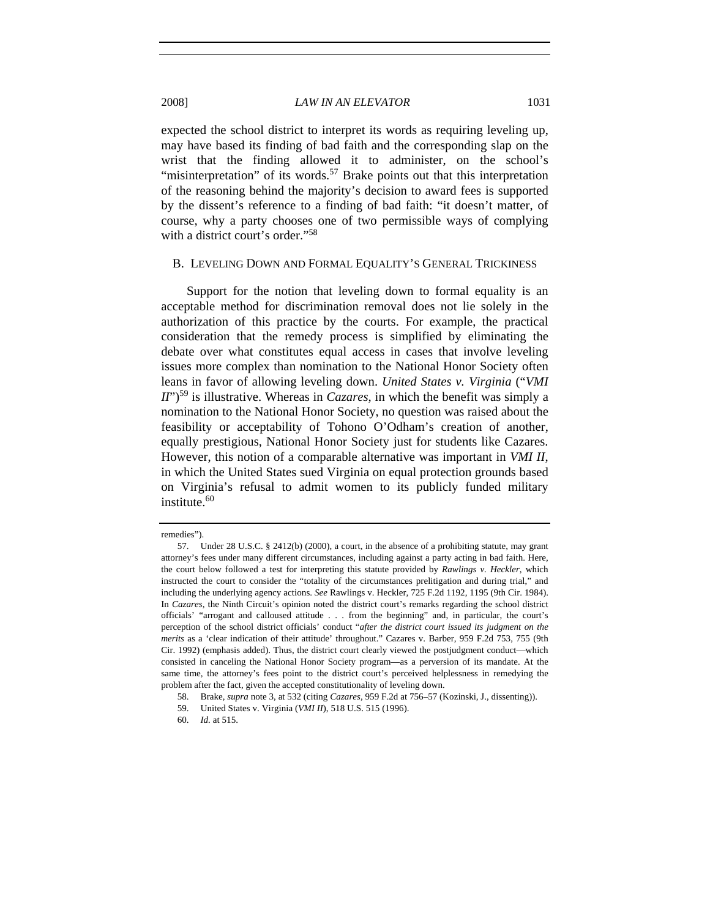expected the school district to interpret its words as requiring leveling up, may have based its finding of bad faith and the corresponding slap on the wrist that the finding allowed it to administer, on the school's "misinterpretation" of its words.<sup>57</sup> Brake points out that this interpretation of the reasoning behind the majority's decision to award fees is supported by the dissent's reference to a finding of bad faith: "it doesn't matter, of course, why a party chooses one of two permissible ways of complying with a district court's order."<sup>58</sup>

### B. LEVELING DOWN AND FORMAL EQUALITY'S GENERAL TRICKINESS

Support for the notion that leveling down to formal equality is an acceptable method for discrimination removal does not lie solely in the authorization of this practice by the courts. For example, the practical consideration that the remedy process is simplified by eliminating the debate over what constitutes equal access in cases that involve leveling issues more complex than nomination to the National Honor Society often leans in favor of allowing leveling down. *United States v. Virginia* ("*VMI is illustrative. Whereas in <i>Cazares*, in which the benefit was simply a nomination to the National Honor Society, no question was raised about the feasibility or acceptability of Tohono O'Odham's creation of another, equally prestigious, National Honor Society just for students like Cazares. However, this notion of a comparable alternative was important in *VMI II*, in which the United States sued Virginia on equal protection grounds based on Virginia's refusal to admit women to its publicly funded military institute.<sup>60</sup>

remedies").

 <sup>57.</sup> Under 28 U.S.C. § 2412(b) (2000), a court, in the absence of a prohibiting statute, may grant attorney's fees under many different circumstances, including against a party acting in bad faith. Here, the court below followed a test for interpreting this statute provided by *Rawlings v. Heckler*, which instructed the court to consider the "totality of the circumstances prelitigation and during trial," and including the underlying agency actions. *See* Rawlings v. Heckler, 725 F.2d 1192, 1195 (9th Cir. 1984). In *Cazares*, the Ninth Circuit's opinion noted the district court's remarks regarding the school district officials' "arrogant and calloused attitude . . . from the beginning" and, in particular, the court's perception of the school district officials' conduct "*after the district court issued its judgment on the merits* as a 'clear indication of their attitude' throughout." Cazares v. Barber, 959 F.2d 753, 755 (9th Cir. 1992) (emphasis added). Thus, the district court clearly viewed the postjudgment conduct—which consisted in canceling the National Honor Society program—as a perversion of its mandate. At the same time, the attorney's fees point to the district court's perceived helplessness in remedying the problem after the fact, given the accepted constitutionality of leveling down.

 <sup>58.</sup> Brake, *supra* note 3, at 532 (citing *Cazares*, 959 F.2d at 756–57 (Kozinski, J., dissenting)).

<sup>59.</sup> United States v. Virginia (*VMI II*), 518 U.S. 515 (1996).

<sup>60.</sup> *Id.* at 515.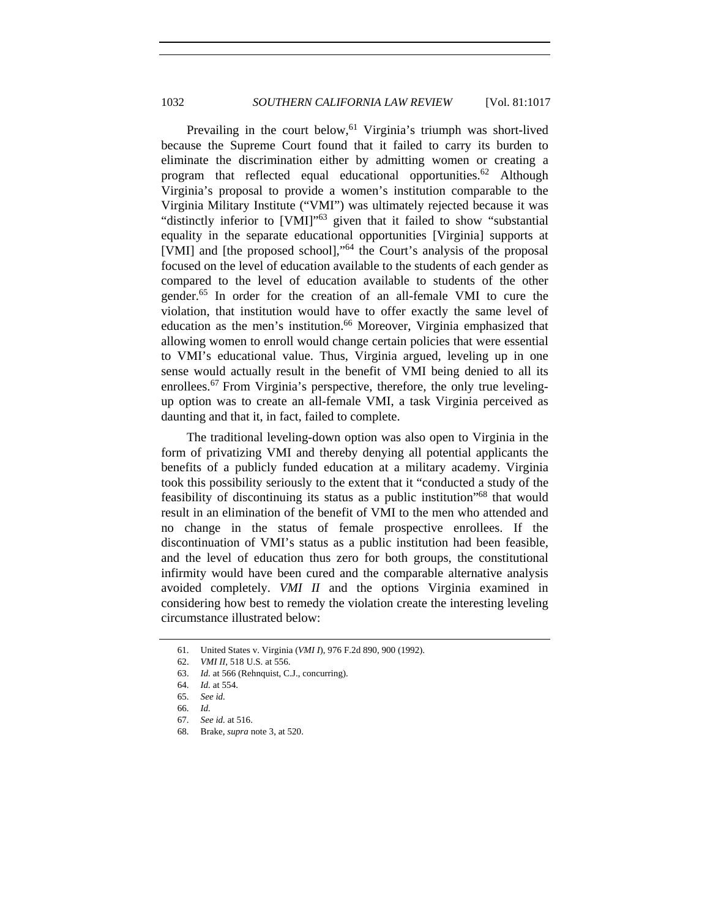Prevailing in the court below,<sup>61</sup> Virginia's triumph was short-lived because the Supreme Court found that it failed to carry its burden to eliminate the discrimination either by admitting women or creating a program that reflected equal educational opportunities.<sup>62</sup> Although Virginia's proposal to provide a women's institution comparable to the Virginia Military Institute ("VMI") was ultimately rejected because it was "distinctly inferior to [VMI]"<sup>63</sup> given that it failed to show "substantial equality in the separate educational opportunities [Virginia] supports at [VMI] and [the proposed school],"<sup>64</sup> the Court's analysis of the proposal focused on the level of education available to the students of each gender as compared to the level of education available to students of the other gender.65 In order for the creation of an all-female VMI to cure the violation, that institution would have to offer exactly the same level of education as the men's institution.<sup>66</sup> Moreover, Virginia emphasized that allowing women to enroll would change certain policies that were essential to VMI's educational value. Thus, Virginia argued, leveling up in one sense would actually result in the benefit of VMI being denied to all its enrollees.<sup>67</sup> From Virginia's perspective, therefore, the only true levelingup option was to create an all-female VMI, a task Virginia perceived as daunting and that it, in fact, failed to complete.

The traditional leveling-down option was also open to Virginia in the form of privatizing VMI and thereby denying all potential applicants the benefits of a publicly funded education at a military academy. Virginia took this possibility seriously to the extent that it "conducted a study of the feasibility of discontinuing its status as a public institution"68 that would result in an elimination of the benefit of VMI to the men who attended and no change in the status of female prospective enrollees. If the discontinuation of VMI's status as a public institution had been feasible, and the level of education thus zero for both groups, the constitutional infirmity would have been cured and the comparable alternative analysis avoided completely. *VMI II* and the options Virginia examined in considering how best to remedy the violation create the interesting leveling circumstance illustrated below:

 <sup>61.</sup> United States v. Virginia (*VMI I*), 976 F.2d 890, 900 (1992).

 <sup>62.</sup> *VMI II*, 518 U.S. at 556.

<sup>63.</sup> *Id.* at 566 (Rehnquist, C.J., concurring).

<sup>64.</sup> *Id.* at 554.

<sup>65.</sup> *See id.*

<sup>66.</sup> *Id.*

 <sup>67.</sup> *See id.* at 516.

 <sup>68.</sup> Brake, *supra* note 3, at 520.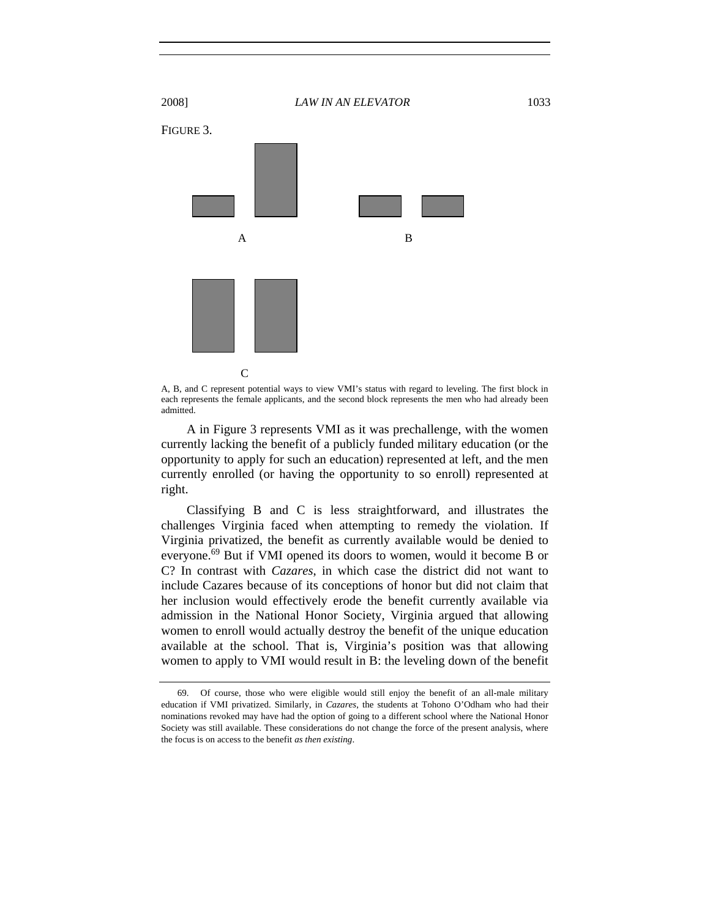

A, B, and C represent potential ways to view VMI's status with regard to leveling. The first block in each represents the female applicants, and the second block represents the men who had already been admitted.

A in Figure 3 represents VMI as it was prechallenge, with the women currently lacking the benefit of a publicly funded military education (or the opportunity to apply for such an education) represented at left, and the men currently enrolled (or having the opportunity to so enroll) represented at right.

Classifying B and C is less straightforward, and illustrates the challenges Virginia faced when attempting to remedy the violation. If Virginia privatized, the benefit as currently available would be denied to everyone.<sup>69</sup> But if VMI opened its doors to women, would it become B or C? In contrast with *Cazares*, in which case the district did not want to include Cazares because of its conceptions of honor but did not claim that her inclusion would effectively erode the benefit currently available via admission in the National Honor Society, Virginia argued that allowing women to enroll would actually destroy the benefit of the unique education available at the school. That is, Virginia's position was that allowing women to apply to VMI would result in B: the leveling down of the benefit

 <sup>69.</sup> Of course, those who were eligible would still enjoy the benefit of an all-male military education if VMI privatized. Similarly, in *Cazares*, the students at Tohono O'Odham who had their nominations revoked may have had the option of going to a different school where the National Honor Society was still available. These considerations do not change the force of the present analysis, where the focus is on access to the benefit *as then existing*.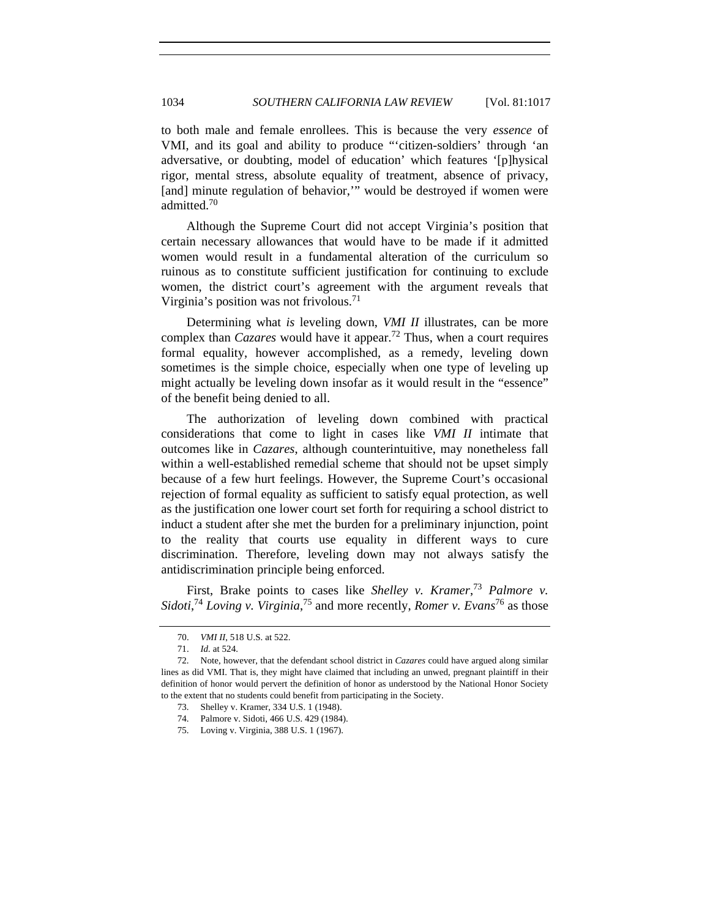to both male and female enrollees. This is because the very *essence* of VMI, and its goal and ability to produce "'citizen-soldiers' through 'an adversative, or doubting, model of education' which features '[p]hysical rigor, mental stress, absolute equality of treatment, absence of privacy, [and] minute regulation of behavior," would be destroyed if women were admitted.70

Although the Supreme Court did not accept Virginia's position that certain necessary allowances that would have to be made if it admitted women would result in a fundamental alteration of the curriculum so ruinous as to constitute sufficient justification for continuing to exclude women, the district court's agreement with the argument reveals that Virginia's position was not frivolous.<sup>71</sup>

Determining what *is* leveling down, *VMI II* illustrates, can be more complex than *Cazares* would have it appear.72 Thus, when a court requires formal equality, however accomplished, as a remedy, leveling down sometimes is the simple choice, especially when one type of leveling up might actually be leveling down insofar as it would result in the "essence" of the benefit being denied to all.

The authorization of leveling down combined with practical considerations that come to light in cases like *VMI II* intimate that outcomes like in *Cazares*, although counterintuitive, may nonetheless fall within a well-established remedial scheme that should not be upset simply because of a few hurt feelings. However, the Supreme Court's occasional rejection of formal equality as sufficient to satisfy equal protection, as well as the justification one lower court set forth for requiring a school district to induct a student after she met the burden for a preliminary injunction, point to the reality that courts use equality in different ways to cure discrimination. Therefore, leveling down may not always satisfy the antidiscrimination principle being enforced.

First, Brake points to cases like *Shelley v. Kramer*, <sup>73</sup> *Palmore v.*  Sidoti,<sup>74</sup> Loving v. Virginia,<sup>75</sup> and more recently, *Romer v. Evans*<sup>76</sup> as those

<sup>70.</sup> *VMI II*, 518 U.S. at 522.

<sup>71.</sup> *Id.* at 524.

 <sup>72.</sup> Note, however, that the defendant school district in *Cazares* could have argued along similar lines as did VMI. That is, they might have claimed that including an unwed, pregnant plaintiff in their definition of honor would pervert the definition of honor as understood by the National Honor Society to the extent that no students could benefit from participating in the Society.

 <sup>73.</sup> Shelley v. Kramer, 334 U.S. 1 (1948).

 <sup>74.</sup> Palmore v. Sidoti, 466 U.S. 429 (1984).

 <sup>75.</sup> Loving v. Virginia, 388 U.S. 1 (1967).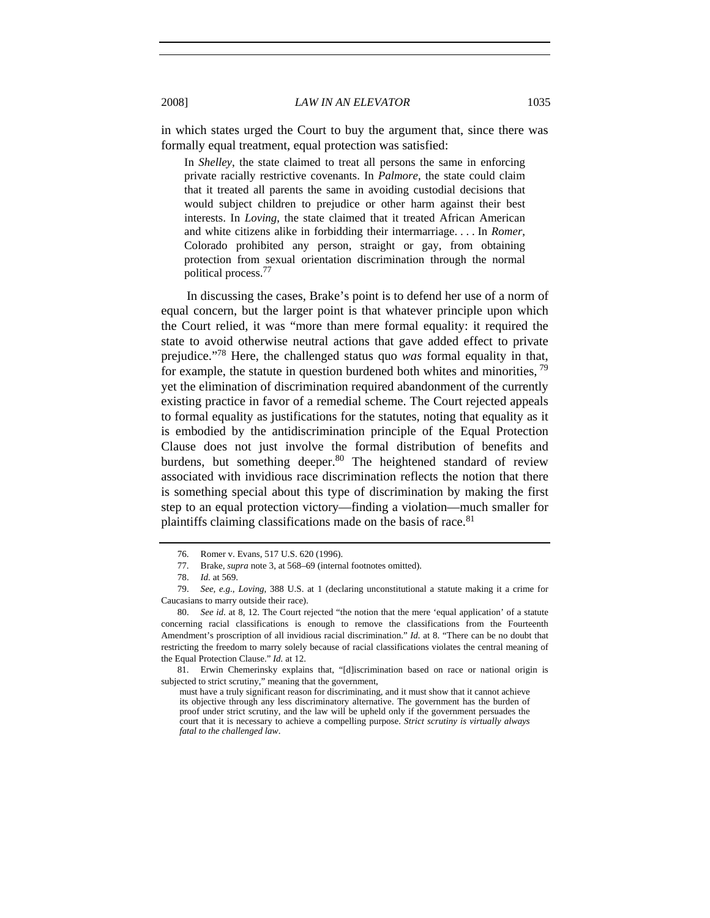in which states urged the Court to buy the argument that, since there was formally equal treatment, equal protection was satisfied:

In *Shelley*, the state claimed to treat all persons the same in enforcing private racially restrictive covenants. In *Palmore*, the state could claim that it treated all parents the same in avoiding custodial decisions that would subject children to prejudice or other harm against their best interests. In *Loving*, the state claimed that it treated African American and white citizens alike in forbidding their intermarriage. . . . In *Romer*, Colorado prohibited any person, straight or gay, from obtaining protection from sexual orientation discrimination through the normal political process.77

In discussing the cases, Brake's point is to defend her use of a norm of equal concern, but the larger point is that whatever principle upon which the Court relied, it was "more than mere formal equality: it required the state to avoid otherwise neutral actions that gave added effect to private prejudice."78 Here, the challenged status quo *was* formal equality in that, for example, the statute in question burdened both whites and minorities,  $^{79}$ yet the elimination of discrimination required abandonment of the currently existing practice in favor of a remedial scheme. The Court rejected appeals to formal equality as justifications for the statutes, noting that equality as it is embodied by the antidiscrimination principle of the Equal Protection Clause does not just involve the formal distribution of benefits and burdens, but something deeper.<sup>80</sup> The heightened standard of review associated with invidious race discrimination reflects the notion that there is something special about this type of discrimination by making the first step to an equal protection victory—finding a violation—much smaller for plaintiffs claiming classifications made on the basis of race.<sup>81</sup>

 <sup>76.</sup> Romer v. Evans, 517 U.S. 620 (1996).

 <sup>77.</sup> Brake, *supra* note 3, at 568–69 (internal footnotes omitted).

<sup>78.</sup> *Id.* at 569.

<sup>79.</sup> *See, e.g.*, *Loving*, 388 U.S. at 1 (declaring unconstitutional a statute making it a crime for Caucasians to marry outside their race).

<sup>80.</sup> *See id*. at 8, 12. The Court rejected "the notion that the mere 'equal application' of a statute concerning racial classifications is enough to remove the classifications from the Fourteenth Amendment's proscription of all invidious racial discrimination." *Id.* at 8. "There can be no doubt that restricting the freedom to marry solely because of racial classifications violates the central meaning of the Equal Protection Clause." *Id.* at 12.

 <sup>81.</sup> Erwin Chemerinsky explains that, "[d]iscrimination based on race or national origin is subjected to strict scrutiny," meaning that the government,

must have a truly significant reason for discriminating, and it must show that it cannot achieve its objective through any less discriminatory alternative. The government has the burden of proof under strict scrutiny, and the law will be upheld only if the government persuades the court that it is necessary to achieve a compelling purpose. *Strict scrutiny is virtually always fatal to the challenged law*.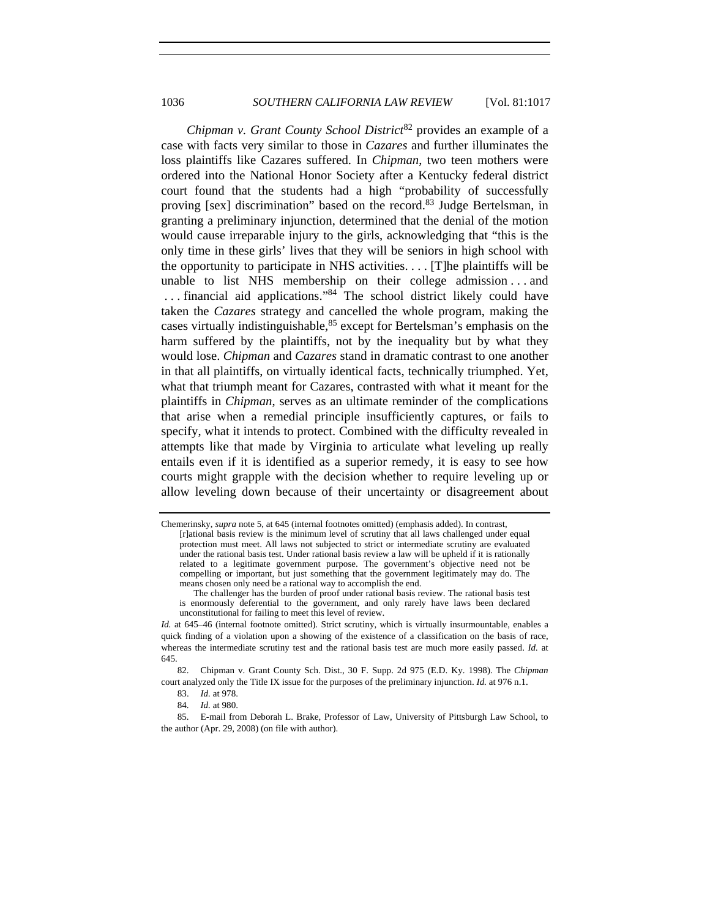*Chipman v. Grant County School District*<sup>82</sup> provides an example of a case with facts very similar to those in *Cazares* and further illuminates the loss plaintiffs like Cazares suffered. In *Chipman*, two teen mothers were ordered into the National Honor Society after a Kentucky federal district court found that the students had a high "probability of successfully proving [sex] discrimination" based on the record.<sup>83</sup> Judge Bertelsman, in granting a preliminary injunction, determined that the denial of the motion would cause irreparable injury to the girls, acknowledging that "this is the only time in these girls' lives that they will be seniors in high school with the opportunity to participate in NHS activities. . . . [T]he plaintiffs will be unable to list NHS membership on their college admission ... and ... financial aid applications."<sup>84</sup> The school district likely could have taken the *Cazares* strategy and cancelled the whole program, making the cases virtually indistinguishable,  $85$  except for Bertelsman's emphasis on the harm suffered by the plaintiffs, not by the inequality but by what they would lose. *Chipman* and *Cazares* stand in dramatic contrast to one another in that all plaintiffs, on virtually identical facts, technically triumphed. Yet, what that triumph meant for Cazares, contrasted with what it meant for the plaintiffs in *Chipman*, serves as an ultimate reminder of the complications that arise when a remedial principle insufficiently captures, or fails to specify, what it intends to protect. Combined with the difficulty revealed in attempts like that made by Virginia to articulate what leveling up really entails even if it is identified as a superior remedy, it is easy to see how courts might grapple with the decision whether to require leveling up or allow leveling down because of their uncertainty or disagreement about

Chemerinsky, *supra* note 5, at 645 (internal footnotes omitted) (emphasis added). In contrast, [r]ational basis review is the minimum level of scrutiny that all laws challenged under equal protection must meet. All laws not subjected to strict or intermediate scrutiny are evaluated under the rational basis test. Under rational basis review a law will be upheld if it is rationally related to a legitimate government purpose. The government's objective need not be compelling or important, but just something that the government legitimately may do. The means chosen only need be a rational way to accomplish the end.

The challenger has the burden of proof under rational basis review. The rational basis test is enormously deferential to the government, and only rarely have laws been declared unconstitutional for failing to meet this level of review.

*Id.* at 645–46 (internal footnote omitted). Strict scrutiny, which is virtually insurmountable, enables a quick finding of a violation upon a showing of the existence of a classification on the basis of race, whereas the intermediate scrutiny test and the rational basis test are much more easily passed. *Id.* at 645.

 <sup>82.</sup> Chipman v. Grant County Sch. Dist., 30 F. Supp. 2d 975 (E.D. Ky. 1998). The *Chipman*  court analyzed only the Title IX issue for the purposes of the preliminary injunction. *Id.* at 976 n.1.

<sup>83.</sup> *Id.* at 978.

<sup>84.</sup> *Id.* at 980.

 <sup>85.</sup> E-mail from Deborah L. Brake, Professor of Law, University of Pittsburgh Law School, to the author (Apr. 29, 2008) (on file with author).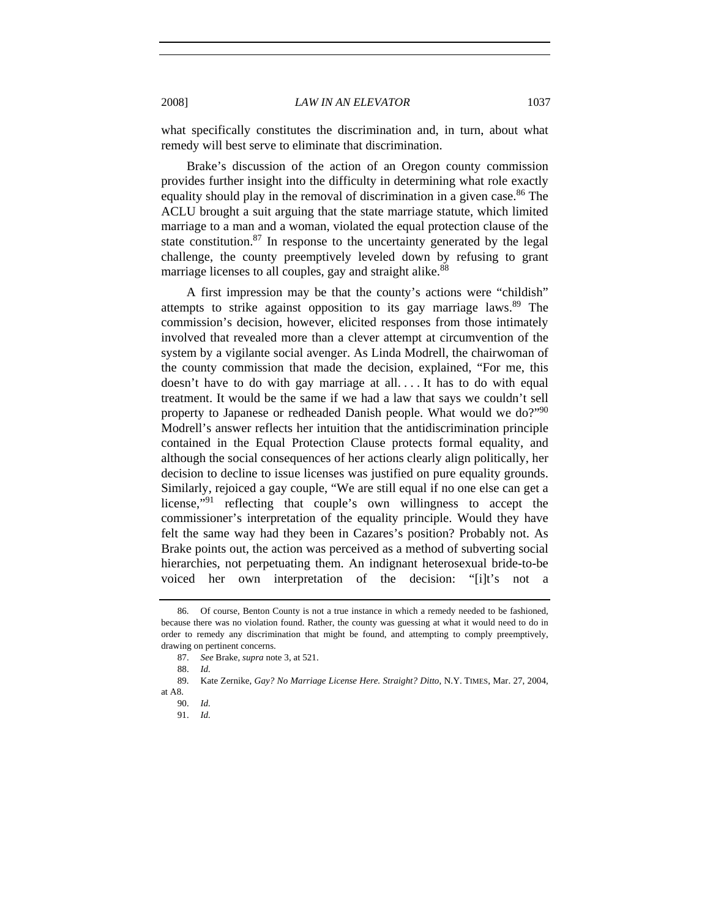what specifically constitutes the discrimination and, in turn, about what remedy will best serve to eliminate that discrimination.

Brake's discussion of the action of an Oregon county commission provides further insight into the difficulty in determining what role exactly equality should play in the removal of discrimination in a given case.<sup>86</sup> The ACLU brought a suit arguing that the state marriage statute, which limited marriage to a man and a woman, violated the equal protection clause of the state constitution. $87$  In response to the uncertainty generated by the legal challenge, the county preemptively leveled down by refusing to grant marriage licenses to all couples, gay and straight alike.<sup>88</sup>

A first impression may be that the county's actions were "childish" attempts to strike against opposition to its gay marriage laws.<sup>89</sup> The commission's decision, however, elicited responses from those intimately involved that revealed more than a clever attempt at circumvention of the system by a vigilante social avenger. As Linda Modrell, the chairwoman of the county commission that made the decision, explained, "For me, this doesn't have to do with gay marriage at all. . . . It has to do with equal treatment. It would be the same if we had a law that says we couldn't sell property to Japanese or redheaded Danish people. What would we do?"<sup>90</sup> Modrell's answer reflects her intuition that the antidiscrimination principle contained in the Equal Protection Clause protects formal equality, and although the social consequences of her actions clearly align politically, her decision to decline to issue licenses was justified on pure equality grounds. Similarly, rejoiced a gay couple, "We are still equal if no one else can get a license,"91 reflecting that couple's own willingness to accept the commissioner's interpretation of the equality principle. Would they have felt the same way had they been in Cazares's position? Probably not. As Brake points out, the action was perceived as a method of subverting social hierarchies, not perpetuating them. An indignant heterosexual bride-to-be voiced her own interpretation of the decision: "[i]t's not a

 <sup>86.</sup> Of course, Benton County is not a true instance in which a remedy needed to be fashioned, because there was no violation found. Rather, the county was guessing at what it would need to do in order to remedy any discrimination that might be found, and attempting to comply preemptively, drawing on pertinent concerns.

<sup>87.</sup> *See* Brake, *supra* note 3, at 521.

<sup>88.</sup> *Id.*

 <sup>89.</sup> Kate Zernike, *Gay? No Marriage License Here. Straight? Ditto*, N.Y. TIMES, Mar. 27, 2004, at A8.

<sup>90.</sup> *Id.*

<sup>91.</sup> *Id.*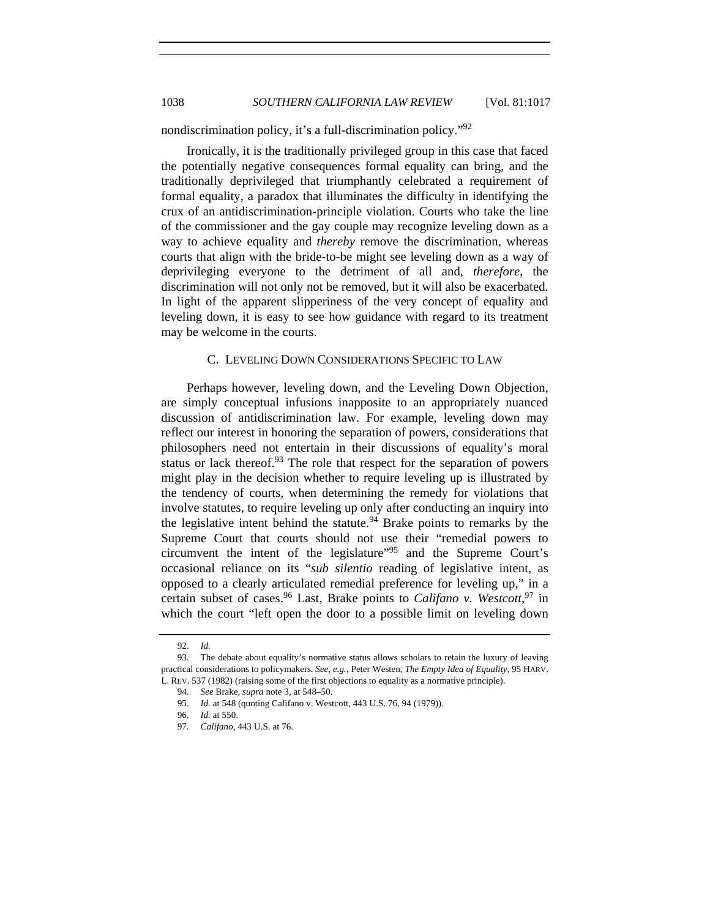nondiscrimination policy, it's a full-discrimination policy."92

Ironically, it is the traditionally privileged group in this case that faced the potentially negative consequences formal equality can bring, and the traditionally deprivileged that triumphantly celebrated a requirement of formal equality, a paradox that illuminates the difficulty in identifying the crux of an antidiscrimination-principle violation. Courts who take the line of the commissioner and the gay couple may recognize leveling down as a way to achieve equality and *thereby* remove the discrimination, whereas courts that align with the bride-to-be might see leveling down as a way of deprivileging everyone to the detriment of all and, *therefore*, the discrimination will not only not be removed, but it will also be exacerbated. In light of the apparent slipperiness of the very concept of equality and leveling down, it is easy to see how guidance with regard to its treatment may be welcome in the courts.

## C. LEVELING DOWN CONSIDERATIONS SPECIFIC TO LAW

Perhaps however, leveling down, and the Leveling Down Objection, are simply conceptual infusions inapposite to an appropriately nuanced discussion of antidiscrimination law. For example, leveling down may reflect our interest in honoring the separation of powers, considerations that philosophers need not entertain in their discussions of equality's moral status or lack thereof.<sup>93</sup> The role that respect for the separation of powers might play in the decision whether to require leveling up is illustrated by the tendency of courts, when determining the remedy for violations that involve statutes, to require leveling up only after conducting an inquiry into the legislative intent behind the statute.<sup>94</sup> Brake points to remarks by the Supreme Court that courts should not use their "remedial powers to circumvent the intent of the legislature"95 and the Supreme Court's occasional reliance on its "*sub silentio* reading of legislative intent, as opposed to a clearly articulated remedial preference for leveling up," in a certain subset of cases.96 Last, Brake points to *Califano v. Westcott*, 97 in which the court "left open the door to a possible limit on leveling down

<sup>92.</sup> *Id.*

 <sup>93.</sup> The debate about equality's normative status allows scholars to retain the luxury of leaving practical considerations to policymakers. *See, e.g.*, Peter Westen, *The Empty Idea of Equality*, 95 HARV. L. REV. 537 (1982) (raising some of the first objections to equality as a normative principle).

<sup>94.</sup> *See* Brake, *supra* note 3, at 548–50.

<sup>95.</sup> *Id.* at 548 (quoting Califano v. Westcott, 443 U.S. 76, 94 (1979)).

<sup>96.</sup> *Id.* at 550.

 <sup>97.</sup> *Califano*, 443 U.S. at 76.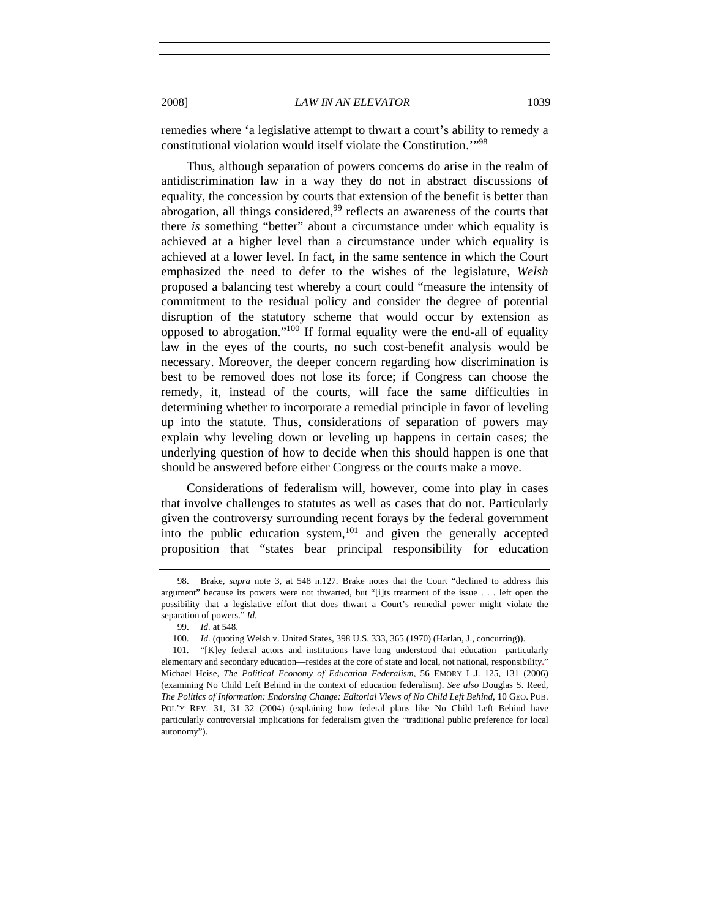remedies where 'a legislative attempt to thwart a court's ability to remedy a constitutional violation would itself violate the Constitution.'"98

Thus, although separation of powers concerns do arise in the realm of antidiscrimination law in a way they do not in abstract discussions of equality, the concession by courts that extension of the benefit is better than abrogation, all things considered,<sup>99</sup> reflects an awareness of the courts that there *is* something "better" about a circumstance under which equality is achieved at a higher level than a circumstance under which equality is achieved at a lower level. In fact, in the same sentence in which the Court emphasized the need to defer to the wishes of the legislature, *Welsh* proposed a balancing test whereby a court could "measure the intensity of commitment to the residual policy and consider the degree of potential disruption of the statutory scheme that would occur by extension as opposed to abrogation."100 If formal equality were the end-all of equality law in the eyes of the courts, no such cost-benefit analysis would be necessary. Moreover, the deeper concern regarding how discrimination is best to be removed does not lose its force; if Congress can choose the remedy, it, instead of the courts, will face the same difficulties in determining whether to incorporate a remedial principle in favor of leveling up into the statute. Thus, considerations of separation of powers may explain why leveling down or leveling up happens in certain cases; the underlying question of how to decide when this should happen is one that should be answered before either Congress or the courts make a move.

Considerations of federalism will, however, come into play in cases that involve challenges to statutes as well as cases that do not. Particularly given the controversy surrounding recent forays by the federal government into the public education system,  $101$  and given the generally accepted proposition that "states bear principal responsibility for education

<sup>98.</sup> Brake, *supra* note 3, at 548 n.127. Brake notes that the Court "declined to address this argument" because its powers were not thwarted, but "[i]ts treatment of the issue . . . left open the possibility that a legislative effort that does thwart a Court's remedial power might violate the separation of powers." *Id.*

<sup>99.</sup> *Id.* at 548.

 <sup>100.</sup> *Id.* (quoting Welsh v. United States, 398 U.S. 333, 365 (1970) (Harlan, J., concurring)).

 <sup>101. &</sup>quot;[K]ey federal actors and institutions have long understood that education—particularly elementary and secondary education—resides at the core of state and local, not national, responsibility." Michael Heise, *The Political Economy of Education Federalism*, 56 EMORY L.J. 125, 131 (2006) (examining No Child Left Behind in the context of education federalism). *See also* Douglas S. Reed, *The Politics of Information: Endorsing Change: Editorial Views of No Child Left Behind*, 10 GEO. PUB. POL'Y REV. 31, 31–32 (2004) (explaining how federal plans like No Child Left Behind have particularly controversial implications for federalism given the "traditional public preference for local autonomy").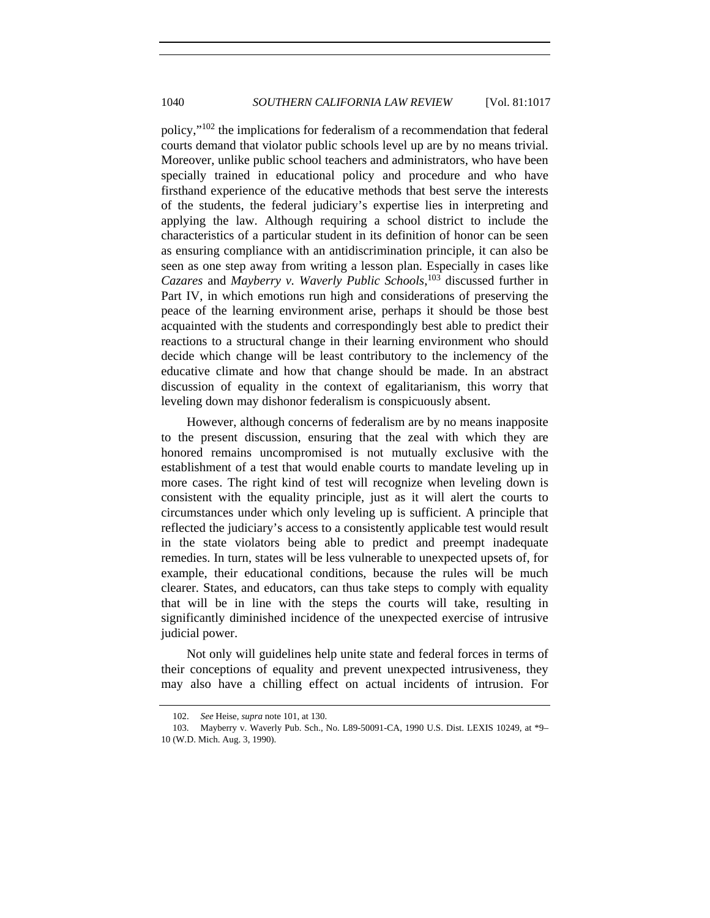policy,"102 the implications for federalism of a recommendation that federal courts demand that violator public schools level up are by no means trivial. Moreover, unlike public school teachers and administrators, who have been specially trained in educational policy and procedure and who have firsthand experience of the educative methods that best serve the interests of the students, the federal judiciary's expertise lies in interpreting and applying the law. Although requiring a school district to include the characteristics of a particular student in its definition of honor can be seen as ensuring compliance with an antidiscrimination principle, it can also be seen as one step away from writing a lesson plan. Especially in cases like *Cazares* and *Mayberry v. Waverly Public Schools*, 103 discussed further in Part IV, in which emotions run high and considerations of preserving the peace of the learning environment arise, perhaps it should be those best acquainted with the students and correspondingly best able to predict their reactions to a structural change in their learning environment who should decide which change will be least contributory to the inclemency of the educative climate and how that change should be made. In an abstract discussion of equality in the context of egalitarianism, this worry that leveling down may dishonor federalism is conspicuously absent.

However, although concerns of federalism are by no means inapposite to the present discussion, ensuring that the zeal with which they are honored remains uncompromised is not mutually exclusive with the establishment of a test that would enable courts to mandate leveling up in more cases. The right kind of test will recognize when leveling down is consistent with the equality principle, just as it will alert the courts to circumstances under which only leveling up is sufficient. A principle that reflected the judiciary's access to a consistently applicable test would result in the state violators being able to predict and preempt inadequate remedies. In turn, states will be less vulnerable to unexpected upsets of, for example, their educational conditions, because the rules will be much clearer. States, and educators, can thus take steps to comply with equality that will be in line with the steps the courts will take, resulting in significantly diminished incidence of the unexpected exercise of intrusive judicial power.

Not only will guidelines help unite state and federal forces in terms of their conceptions of equality and prevent unexpected intrusiveness, they may also have a chilling effect on actual incidents of intrusion. For

<sup>102.</sup> *See* Heise, *supra* note 101, at 130.

 <sup>103.</sup> Mayberry v. Waverly Pub. Sch., No. L89-50091-CA, 1990 U.S. Dist. LEXIS 10249, at \*9– 10 (W.D. Mich. Aug. 3, 1990).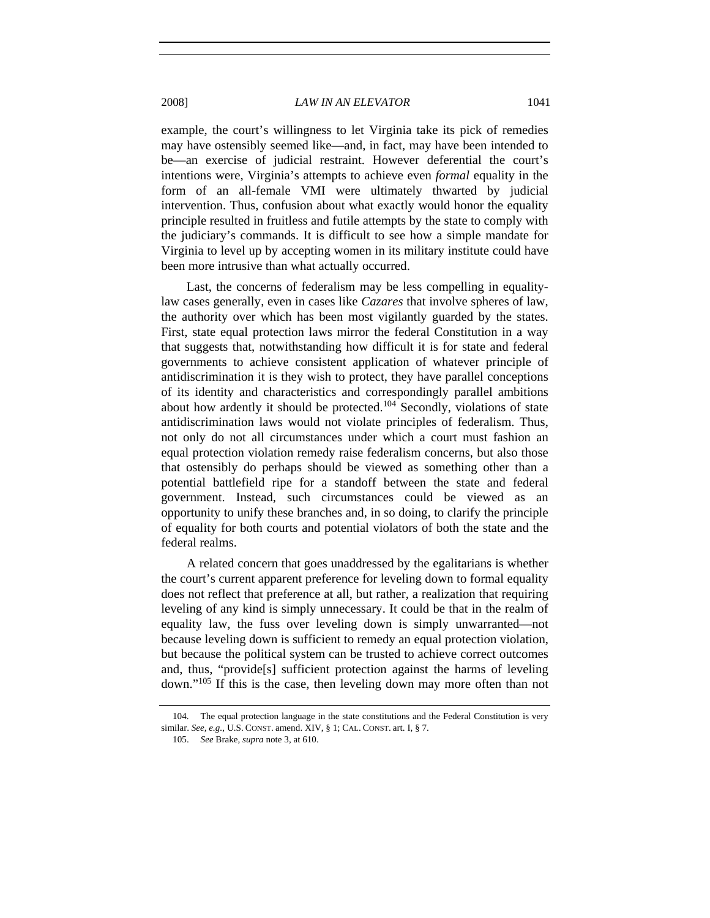example, the court's willingness to let Virginia take its pick of remedies may have ostensibly seemed like—and, in fact, may have been intended to be—an exercise of judicial restraint. However deferential the court's intentions were, Virginia's attempts to achieve even *formal* equality in the form of an all-female VMI were ultimately thwarted by judicial intervention. Thus, confusion about what exactly would honor the equality principle resulted in fruitless and futile attempts by the state to comply with the judiciary's commands. It is difficult to see how a simple mandate for Virginia to level up by accepting women in its military institute could have been more intrusive than what actually occurred.

Last, the concerns of federalism may be less compelling in equalitylaw cases generally, even in cases like *Cazares* that involve spheres of law, the authority over which has been most vigilantly guarded by the states. First, state equal protection laws mirror the federal Constitution in a way that suggests that, notwithstanding how difficult it is for state and federal governments to achieve consistent application of whatever principle of antidiscrimination it is they wish to protect, they have parallel conceptions of its identity and characteristics and correspondingly parallel ambitions about how ardently it should be protected.<sup>104</sup> Secondly, violations of state antidiscrimination laws would not violate principles of federalism. Thus, not only do not all circumstances under which a court must fashion an equal protection violation remedy raise federalism concerns, but also those that ostensibly do perhaps should be viewed as something other than a potential battlefield ripe for a standoff between the state and federal government. Instead, such circumstances could be viewed as an opportunity to unify these branches and, in so doing, to clarify the principle of equality for both courts and potential violators of both the state and the federal realms.

A related concern that goes unaddressed by the egalitarians is whether the court's current apparent preference for leveling down to formal equality does not reflect that preference at all, but rather, a realization that requiring leveling of any kind is simply unnecessary. It could be that in the realm of equality law, the fuss over leveling down is simply unwarranted—not because leveling down is sufficient to remedy an equal protection violation, but because the political system can be trusted to achieve correct outcomes and, thus, "provide[s] sufficient protection against the harms of leveling down."105 If this is the case, then leveling down may more often than not

 <sup>104.</sup> The equal protection language in the state constitutions and the Federal Constitution is very similar. *See, e.g.*, U.S. CONST. amend. XIV, § 1; CAL. CONST. art. I, § 7.

<sup>105.</sup> *See* Brake, *supra* note 3, at 610.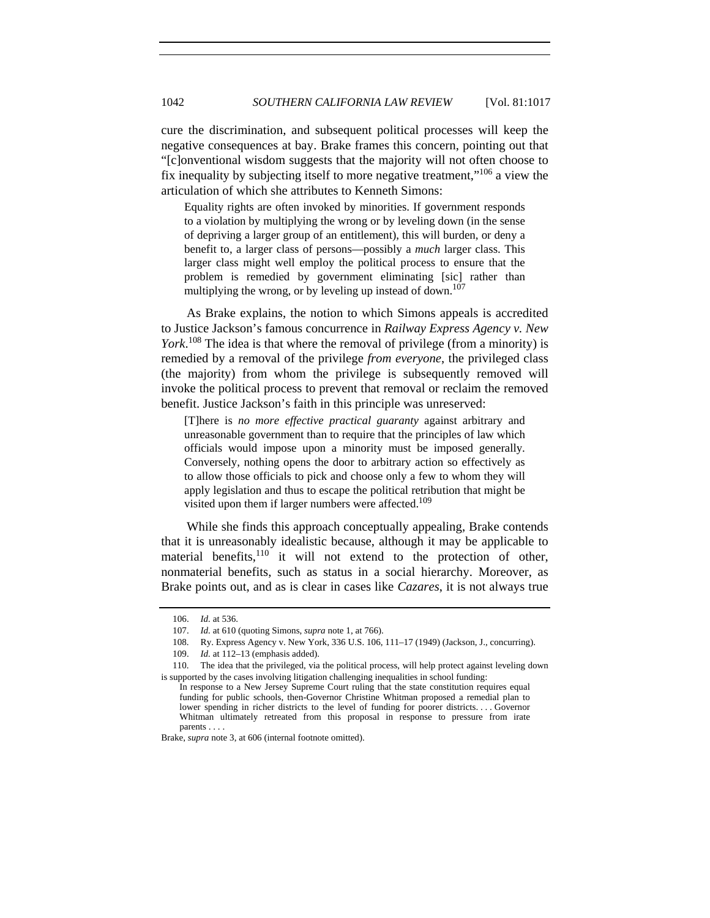cure the discrimination, and subsequent political processes will keep the negative consequences at bay. Brake frames this concern, pointing out that "[c]onventional wisdom suggests that the majority will not often choose to fix inequality by subjecting itself to more negative treatment,  $106$  a view the articulation of which she attributes to Kenneth Simons:

Equality rights are often invoked by minorities. If government responds to a violation by multiplying the wrong or by leveling down (in the sense of depriving a larger group of an entitlement), this will burden, or deny a benefit to, a larger class of persons—possibly a *much* larger class. This larger class might well employ the political process to ensure that the problem is remedied by government eliminating [sic] rather than multiplying the wrong, or by leveling up instead of down.<sup>107</sup>

As Brake explains, the notion to which Simons appeals is accredited to Justice Jackson's famous concurrence in *Railway Express Agency v. New York*. 108 The idea is that where the removal of privilege (from a minority) is remedied by a removal of the privilege *from everyone*, the privileged class (the majority) from whom the privilege is subsequently removed will invoke the political process to prevent that removal or reclaim the removed benefit. Justice Jackson's faith in this principle was unreserved:

[T]here is *no more effective practical guaranty* against arbitrary and unreasonable government than to require that the principles of law which officials would impose upon a minority must be imposed generally. Conversely, nothing opens the door to arbitrary action so effectively as to allow those officials to pick and choose only a few to whom they will apply legislation and thus to escape the political retribution that might be visited upon them if larger numbers were affected.<sup>109</sup>

While she finds this approach conceptually appealing, Brake contends that it is unreasonably idealistic because, although it may be applicable to material benefits, $110$  it will not extend to the protection of other, nonmaterial benefits, such as status in a social hierarchy. Moreover, as Brake points out, and as is clear in cases like *Cazares*, it is not always true

 <sup>106.</sup> *Id.* at 536.

 <sup>107.</sup> *Id.* at 610 (quoting Simons, *supra* note 1, at 766).

 <sup>108.</sup> Ry. Express Agency v. New York, 336 U.S. 106, 111–17 (1949) (Jackson, J., concurring).

<sup>109.</sup> *Id.* at 112–13 (emphasis added).

 <sup>110.</sup> The idea that the privileged, via the political process, will help protect against leveling down is supported by the cases involving litigation challenging inequalities in school funding:

In response to a New Jersey Supreme Court ruling that the state constitution requires equal funding for public schools, then-Governor Christine Whitman proposed a remedial plan to lower spending in richer districts to the level of funding for poorer districts. . . . Governor Whitman ultimately retreated from this proposal in response to pressure from irate parents . . . .

Brake, *supra* note 3, at 606 (internal footnote omitted).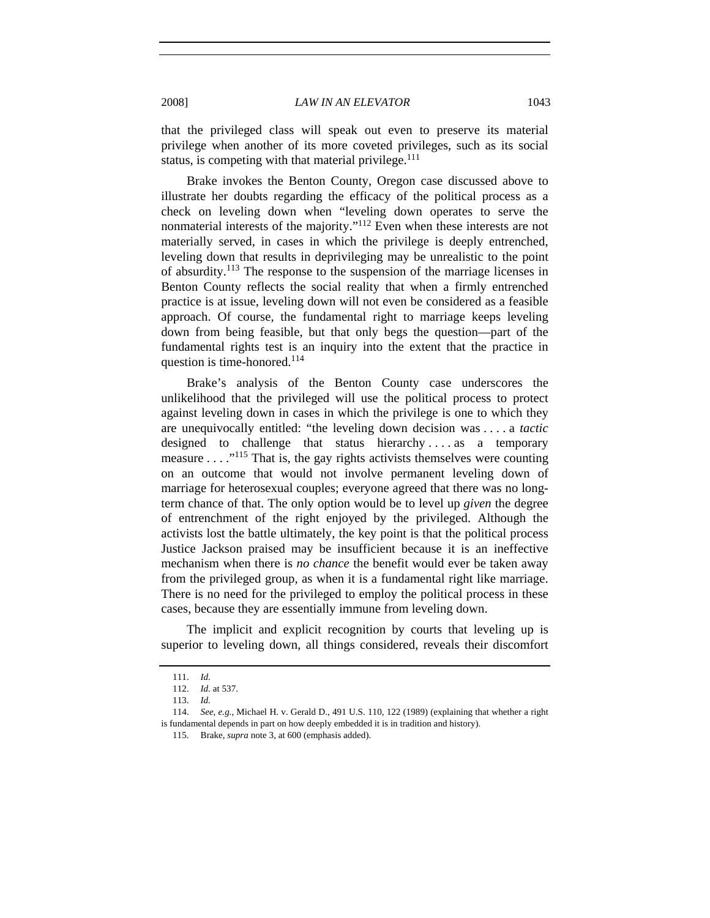that the privileged class will speak out even to preserve its material privilege when another of its more coveted privileges, such as its social status, is competing with that material privilege. $111$ 

Brake invokes the Benton County, Oregon case discussed above to illustrate her doubts regarding the efficacy of the political process as a check on leveling down when "leveling down operates to serve the nonmaterial interests of the majority."112 Even when these interests are not materially served, in cases in which the privilege is deeply entrenched, leveling down that results in deprivileging may be unrealistic to the point of absurdity.113 The response to the suspension of the marriage licenses in Benton County reflects the social reality that when a firmly entrenched practice is at issue, leveling down will not even be considered as a feasible approach. Of course, the fundamental right to marriage keeps leveling down from being feasible, but that only begs the question—part of the fundamental rights test is an inquiry into the extent that the practice in question is time-honored.<sup>114</sup>

Brake's analysis of the Benton County case underscores the unlikelihood that the privileged will use the political process to protect against leveling down in cases in which the privilege is one to which they are unequivocally entitled: "the leveling down decision was . . . . a *tactic* designed to challenge that status hierarchy . . . . as a temporary measure  $\dots$ <sup>115</sup>. That is, the gay rights activists themselves were counting on an outcome that would not involve permanent leveling down of marriage for heterosexual couples; everyone agreed that there was no longterm chance of that. The only option would be to level up *given* the degree of entrenchment of the right enjoyed by the privileged. Although the activists lost the battle ultimately, the key point is that the political process Justice Jackson praised may be insufficient because it is an ineffective mechanism when there is *no chance* the benefit would ever be taken away from the privileged group, as when it is a fundamental right like marriage. There is no need for the privileged to employ the political process in these cases, because they are essentially immune from leveling down.

The implicit and explicit recognition by courts that leveling up is superior to leveling down, all things considered, reveals their discomfort

<sup>111.</sup> *Id.*

<sup>112.</sup> *Id.* at 537.

<sup>113.</sup> *Id.* 

<sup>114.</sup> *See, e.g.*, Michael H. v. Gerald D., 491 U.S. 110, 122 (1989) (explaining that whether a right is fundamental depends in part on how deeply embedded it is in tradition and history).

 <sup>115.</sup> Brake, *supra* note 3, at 600 (emphasis added).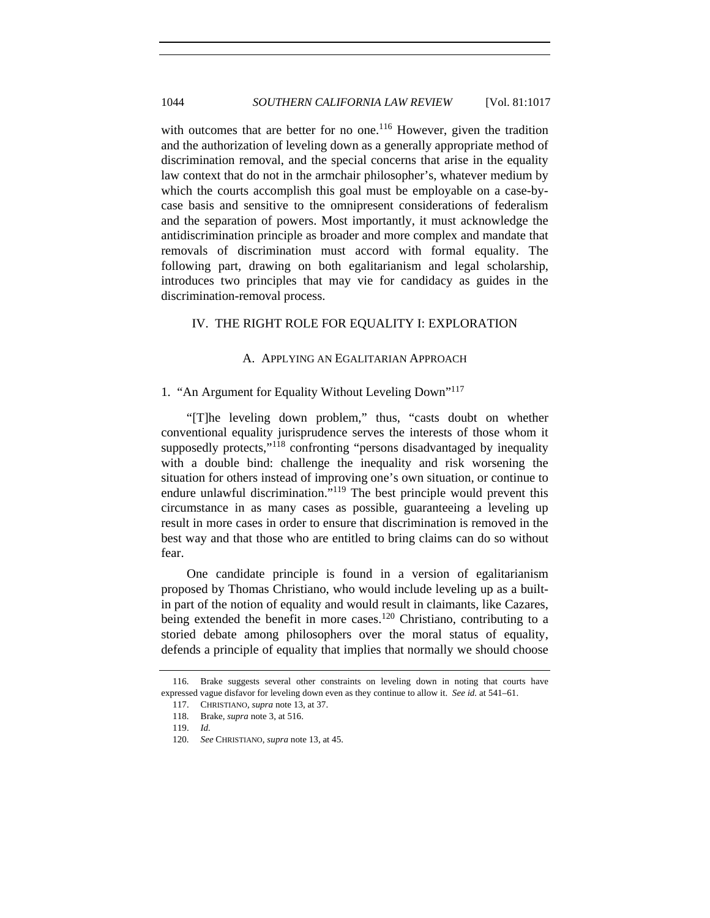with outcomes that are better for no one.<sup>116</sup> However, given the tradition and the authorization of leveling down as a generally appropriate method of discrimination removal, and the special concerns that arise in the equality law context that do not in the armchair philosopher's, whatever medium by which the courts accomplish this goal must be employable on a case-bycase basis and sensitive to the omnipresent considerations of federalism and the separation of powers. Most importantly, it must acknowledge the antidiscrimination principle as broader and more complex and mandate that removals of discrimination must accord with formal equality. The following part, drawing on both egalitarianism and legal scholarship, introduces two principles that may vie for candidacy as guides in the discrimination-removal process.

## IV. THE RIGHT ROLE FOR EQUALITY I: EXPLORATION

## A. APPLYING AN EGALITARIAN APPROACH

## 1. "An Argument for Equality Without Leveling Down"117

"[T]he leveling down problem," thus, "casts doubt on whether conventional equality jurisprudence serves the interests of those whom it supposedly protects,"<sup>118</sup> confronting "persons disadvantaged by inequality with a double bind: challenge the inequality and risk worsening the situation for others instead of improving one's own situation, or continue to endure unlawful discrimination."<sup>119</sup> The best principle would prevent this circumstance in as many cases as possible, guaranteeing a leveling up result in more cases in order to ensure that discrimination is removed in the best way and that those who are entitled to bring claims can do so without fear.

One candidate principle is found in a version of egalitarianism proposed by Thomas Christiano, who would include leveling up as a builtin part of the notion of equality and would result in claimants, like Cazares, being extended the benefit in more cases.<sup>120</sup> Christiano, contributing to a storied debate among philosophers over the moral status of equality, defends a principle of equality that implies that normally we should choose

 <sup>116.</sup> Brake suggests several other constraints on leveling down in noting that courts have expressed vague disfavor for leveling down even as they continue to allow it. *See id.* at 541–61.

 <sup>117.</sup> CHRISTIANO, *supra* note 13, at 37.

 <sup>118.</sup> Brake, *supra* note 3, at 516.

<sup>119.</sup> *Id.*

<sup>120.</sup> *See* CHRISTIANO, *supra* note 13, at 45.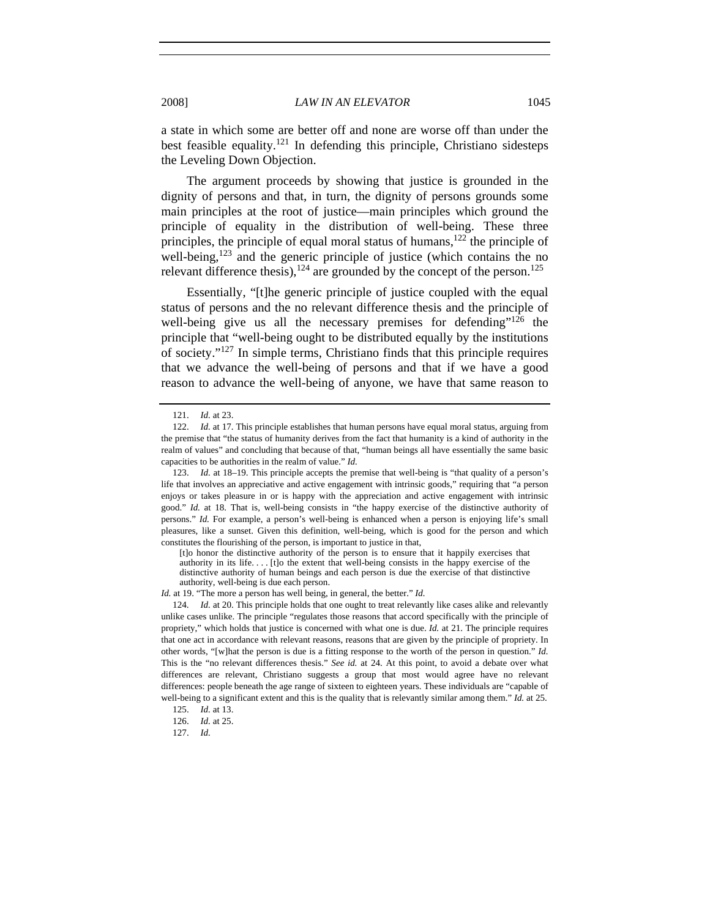a state in which some are better off and none are worse off than under the best feasible equality.<sup>121</sup> In defending this principle, Christiano sidesteps the Leveling Down Objection.

The argument proceeds by showing that justice is grounded in the dignity of persons and that, in turn, the dignity of persons grounds some main principles at the root of justice—main principles which ground the principle of equality in the distribution of well-being. These three principles, the principle of equal moral status of humans, $122$  the principle of well-being,<sup>123</sup> and the generic principle of justice (which contains the no relevant difference thesis), $124$  are grounded by the concept of the person.<sup>125</sup>

Essentially, "[t]he generic principle of justice coupled with the equal status of persons and the no relevant difference thesis and the principle of well-being give us all the necessary premises for defending"<sup>126</sup> the principle that "well-being ought to be distributed equally by the institutions of society."127 In simple terms, Christiano finds that this principle requires that we advance the well-being of persons and that if we have a good reason to advance the well-being of anyone, we have that same reason to

<sup>121.</sup> *Id.* at 23.

<sup>122.</sup> *Id.* at 17. This principle establishes that human persons have equal moral status, arguing from the premise that "the status of humanity derives from the fact that humanity is a kind of authority in the realm of values" and concluding that because of that, "human beings all have essentially the same basic capacities to be authorities in the realm of value." *Id.* 

<sup>123.</sup> *Id.* at 18–19. This principle accepts the premise that well-being is "that quality of a person's life that involves an appreciative and active engagement with intrinsic goods," requiring that "a person enjoys or takes pleasure in or is happy with the appreciation and active engagement with intrinsic good." *Id.* at 18. That is, well-being consists in "the happy exercise of the distinctive authority of persons." *Id.* For example, a person's well-being is enhanced when a person is enjoying life's small pleasures, like a sunset. Given this definition, well-being, which is good for the person and which constitutes the flourishing of the person, is important to justice in that,

<sup>[</sup>t]o honor the distinctive authority of the person is to ensure that it happily exercises that authority in its life. . . . [t]o the extent that well-being consists in the happy exercise of the distinctive authority of human beings and each person is due the exercise of that distinctive authority, well-being is due each person.

*Id.* at 19. "The more a person has well being, in general, the better." *Id.*

<sup>124.</sup> *Id.* at 20. This principle holds that one ought to treat relevantly like cases alike and relevantly unlike cases unlike. The principle "regulates those reasons that accord specifically with the principle of propriety," which holds that justice is concerned with what one is due. *Id.* at 21. The principle requires that one act in accordance with relevant reasons, reasons that are given by the principle of propriety. In other words, "[w]hat the person is due is a fitting response to the worth of the person in question." *Id.* This is the "no relevant differences thesis." *See id.* at 24. At this point, to avoid a debate over what differences are relevant, Christiano suggests a group that most would agree have no relevant differences: people beneath the age range of sixteen to eighteen years. These individuals are "capable of well-being to a significant extent and this is the quality that is relevantly similar among them." *Id.* at 25.

 <sup>125.</sup> *Id.* at 13.

<sup>126.</sup> *Id.* at 25.

<sup>127.</sup> *Id.*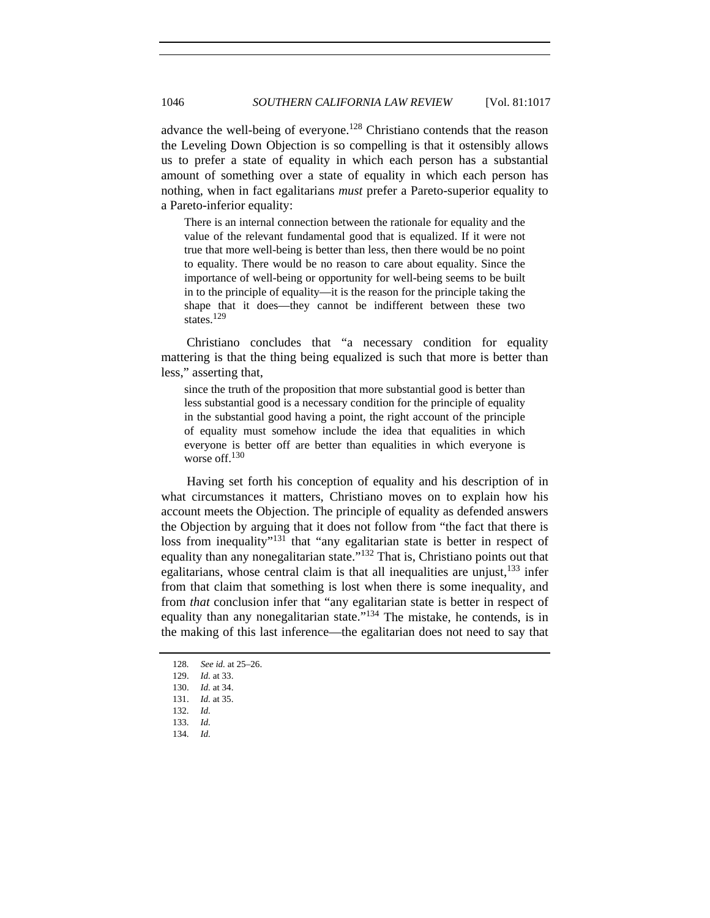advance the well-being of everyone.<sup>128</sup> Christiano contends that the reason the Leveling Down Objection is so compelling is that it ostensibly allows us to prefer a state of equality in which each person has a substantial amount of something over a state of equality in which each person has nothing, when in fact egalitarians *must* prefer a Pareto-superior equality to a Pareto-inferior equality:

There is an internal connection between the rationale for equality and the value of the relevant fundamental good that is equalized. If it were not true that more well-being is better than less, then there would be no point to equality. There would be no reason to care about equality. Since the importance of well-being or opportunity for well-being seems to be built in to the principle of equality—it is the reason for the principle taking the shape that it does—they cannot be indifferent between these two states.<sup>129</sup>

Christiano concludes that "a necessary condition for equality mattering is that the thing being equalized is such that more is better than less," asserting that,

since the truth of the proposition that more substantial good is better than less substantial good is a necessary condition for the principle of equality in the substantial good having a point, the right account of the principle of equality must somehow include the idea that equalities in which everyone is better off are better than equalities in which everyone is worse off.<sup>130</sup>

Having set forth his conception of equality and his description of in what circumstances it matters, Christiano moves on to explain how his account meets the Objection. The principle of equality as defended answers the Objection by arguing that it does not follow from "the fact that there is loss from inequality"<sup>131</sup> that "any egalitarian state is better in respect of equality than any nonegalitarian state."132 That is, Christiano points out that egalitarians, whose central claim is that all inequalities are unjust,<sup>133</sup> infer from that claim that something is lost when there is some inequality, and from *that* conclusion infer that "any egalitarian state is better in respect of equality than any nonegalitarian state."<sup>134</sup> The mistake, he contends, is in the making of this last inference—the egalitarian does not need to say that

134. *Id.*

<sup>128</sup>*. See id.* at 25–26.

 <sup>129.</sup> *Id.* at 33.

<sup>130.</sup> *Id.* at 34.

<sup>131.</sup> *Id.* at 35.

<sup>132.</sup> *Id.*

<sup>133.</sup> *Id.*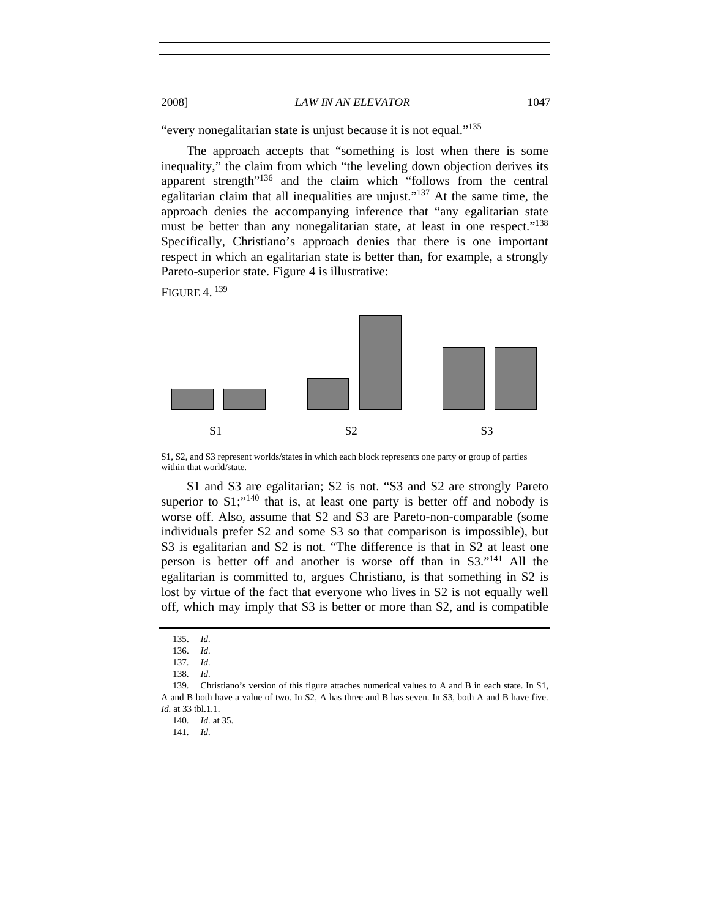"every nonegalitarian state is unjust because it is not equal."<sup>135</sup>

The approach accepts that "something is lost when there is some inequality," the claim from which "the leveling down objection derives its apparent strength"136 and the claim which "follows from the central egalitarian claim that all inequalities are unjust."137 At the same time, the approach denies the accompanying inference that "any egalitarian state must be better than any nonegalitarian state, at least in one respect."<sup>138</sup> Specifically, Christiano's approach denies that there is one important respect in which an egalitarian state is better than, for example, a strongly Pareto-superior state. Figure 4 is illustrative:

FIGURE  $4^{139}$ 



S1, S2, and S3 represent worlds/states in which each block represents one party or group of parties within that world/state.

S1 and S3 are egalitarian; S2 is not. "S3 and S2 are strongly Pareto superior to  $S1$ ;<sup> $n140$ </sup> that is, at least one party is better off and nobody is worse off. Also, assume that S2 and S3 are Pareto-non-comparable (some individuals prefer S2 and some S3 so that comparison is impossible), but S3 is egalitarian and S2 is not. "The difference is that in S2 at least one person is better off and another is worse off than in S3."141 All the egalitarian is committed to, argues Christiano, is that something in S2 is lost by virtue of the fact that everyone who lives in S2 is not equally well off, which may imply that S3 is better or more than S2, and is compatible

<sup>135.</sup> *Id.*

<sup>136.</sup> *Id.*

<sup>137.</sup> *Id.*

<sup>138.</sup> *Id.*

 <sup>139.</sup> Christiano's version of this figure attaches numerical values to A and B in each state. In S1, A and B both have a value of two. In S2, A has three and B has seven. In S3, both A and B have five. *Id.* at 33 tbl.1.1.

<sup>140.</sup> *Id.* at 35.

<sup>141.</sup> *Id.*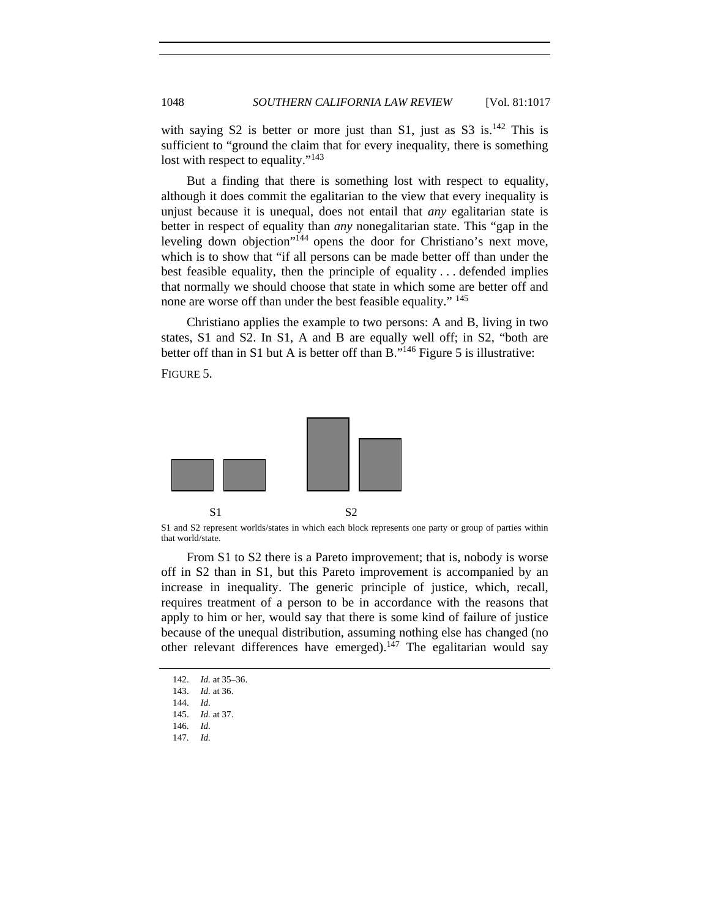with saying S2 is better or more just than S1, just as S3 is. $^{142}$  This is sufficient to "ground the claim that for every inequality, there is something lost with respect to equality."<sup>143</sup>

But a finding that there is something lost with respect to equality, although it does commit the egalitarian to the view that every inequality is unjust because it is unequal, does not entail that *any* egalitarian state is better in respect of equality than *any* nonegalitarian state. This "gap in the leveling down objection"<sup>144</sup> opens the door for Christiano's next move, which is to show that "if all persons can be made better off than under the best feasible equality, then the principle of equality . . . defended implies that normally we should choose that state in which some are better off and none are worse off than under the best feasible equality." <sup>145</sup>

Christiano applies the example to two persons: A and B, living in two states, S1 and S2. In S1, A and B are equally well off; in S2, "both are better off than in S1 but A is better off than  $B.^{146}$  Figure 5 is illustrative:

FIGURE 5.



S1 and S2 represent worlds/states in which each block represents one party or group of parties within that world/state.

From S1 to S2 there is a Pareto improvement; that is, nobody is worse off in S2 than in S1, but this Pareto improvement is accompanied by an increase in inequality. The generic principle of justice, which, recall, requires treatment of a person to be in accordance with the reasons that apply to him or her, would say that there is some kind of failure of justice because of the unequal distribution, assuming nothing else has changed (no other relevant differences have emerged).<sup>147</sup> The egalitarian would say

147. *Id.*

<sup>142.</sup> *Id.* at 35–36.

<sup>143.</sup> *Id.* at 36.

 <sup>144.</sup> *Id.*

<sup>145.</sup> *Id.* at 37.

<sup>146.</sup> *Id.*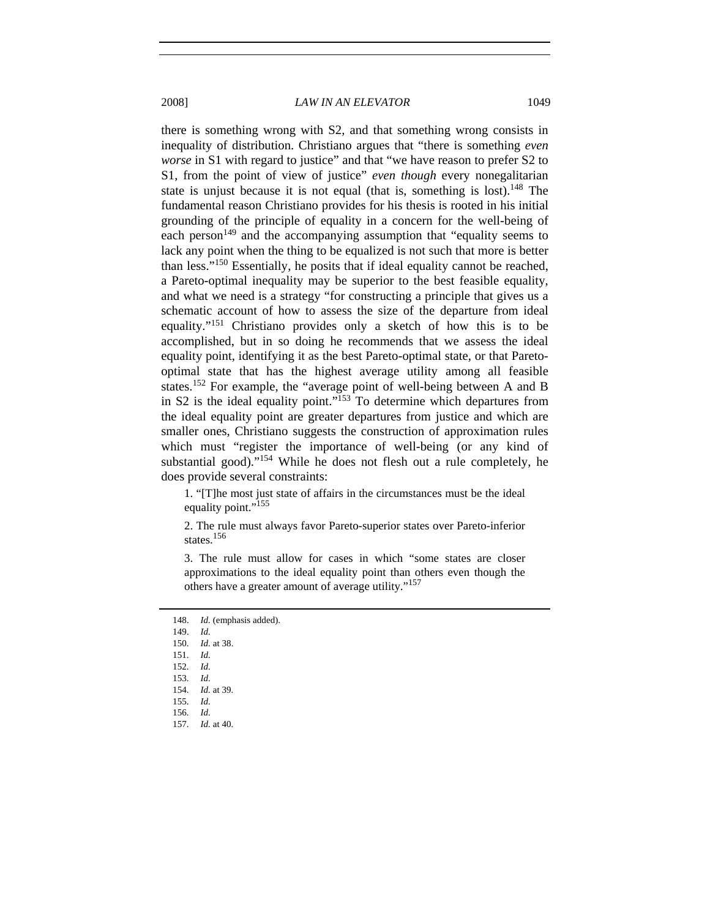there is something wrong with S2, and that something wrong consists in inequality of distribution. Christiano argues that "there is something *even worse* in S1 with regard to justice" and that "we have reason to prefer S2 to S1, from the point of view of justice" *even though* every nonegalitarian state is unjust because it is not equal (that is, something is lost).<sup>148</sup> The fundamental reason Christiano provides for his thesis is rooted in his initial grounding of the principle of equality in a concern for the well-being of each person<sup>149</sup> and the accompanying assumption that "equality seems to lack any point when the thing to be equalized is not such that more is better than less."150 Essentially, he posits that if ideal equality cannot be reached, a Pareto-optimal inequality may be superior to the best feasible equality, and what we need is a strategy "for constructing a principle that gives us a schematic account of how to assess the size of the departure from ideal equality."151 Christiano provides only a sketch of how this is to be accomplished, but in so doing he recommends that we assess the ideal equality point, identifying it as the best Pareto-optimal state, or that Paretooptimal state that has the highest average utility among all feasible states.152 For example, the "average point of well-being between A and B in S2 is the ideal equality point."<sup>153</sup> To determine which departures from the ideal equality point are greater departures from justice and which are smaller ones, Christiano suggests the construction of approximation rules which must "register the importance of well-being (or any kind of substantial good)."<sup>154</sup> While he does not flesh out a rule completely, he does provide several constraints:

1. "[T]he most just state of affairs in the circumstances must be the ideal equality point."<sup>155</sup>

2. The rule must always favor Pareto-superior states over Pareto-inferior states.<sup>156</sup>

3. The rule must allow for cases in which "some states are closer approximations to the ideal equality point than others even though the others have a greater amount of average utility."<sup>157</sup>

148. *Id.* (emphasis added).

149. *Id.*

150. *Id.* at 38.

151. *Id.*

152. *Id.* 153. *Id.*

154. *Id.* at 39.

155. *Id.*

156. *Id.*

157. *Id.* at 40.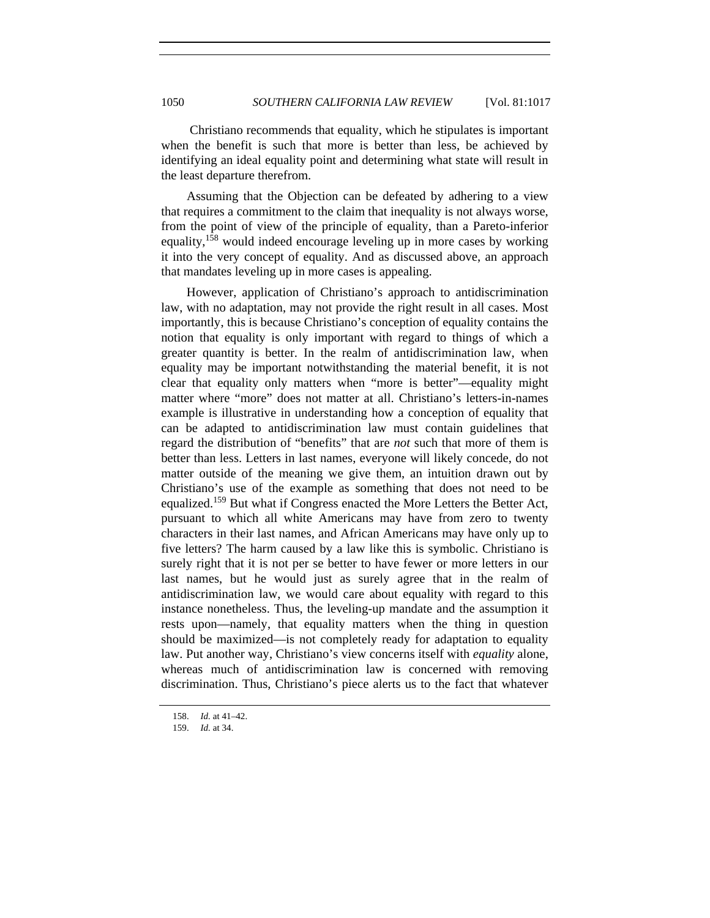Christiano recommends that equality, which he stipulates is important when the benefit is such that more is better than less, be achieved by identifying an ideal equality point and determining what state will result in the least departure therefrom.

Assuming that the Objection can be defeated by adhering to a view that requires a commitment to the claim that inequality is not always worse, from the point of view of the principle of equality, than a Pareto-inferior equality,<sup>158</sup> would indeed encourage leveling up in more cases by working it into the very concept of equality. And as discussed above, an approach that mandates leveling up in more cases is appealing.

However, application of Christiano's approach to antidiscrimination law, with no adaptation, may not provide the right result in all cases. Most importantly, this is because Christiano's conception of equality contains the notion that equality is only important with regard to things of which a greater quantity is better. In the realm of antidiscrimination law, when equality may be important notwithstanding the material benefit, it is not clear that equality only matters when "more is better"—equality might matter where "more" does not matter at all. Christiano's letters-in-names example is illustrative in understanding how a conception of equality that can be adapted to antidiscrimination law must contain guidelines that regard the distribution of "benefits" that are *not* such that more of them is better than less. Letters in last names, everyone will likely concede, do not matter outside of the meaning we give them, an intuition drawn out by Christiano's use of the example as something that does not need to be equalized.<sup>159</sup> But what if Congress enacted the More Letters the Better Act, pursuant to which all white Americans may have from zero to twenty characters in their last names, and African Americans may have only up to five letters? The harm caused by a law like this is symbolic. Christiano is surely right that it is not per se better to have fewer or more letters in our last names, but he would just as surely agree that in the realm of antidiscrimination law, we would care about equality with regard to this instance nonetheless. Thus, the leveling-up mandate and the assumption it rests upon—namely, that equality matters when the thing in question should be maximized—is not completely ready for adaptation to equality law. Put another way, Christiano's view concerns itself with *equality* alone, whereas much of antidiscrimination law is concerned with removing discrimination. Thus, Christiano's piece alerts us to the fact that whatever

<sup>158.</sup> *Id.* at 41–42.

 <sup>159.</sup> *Id.* at 34.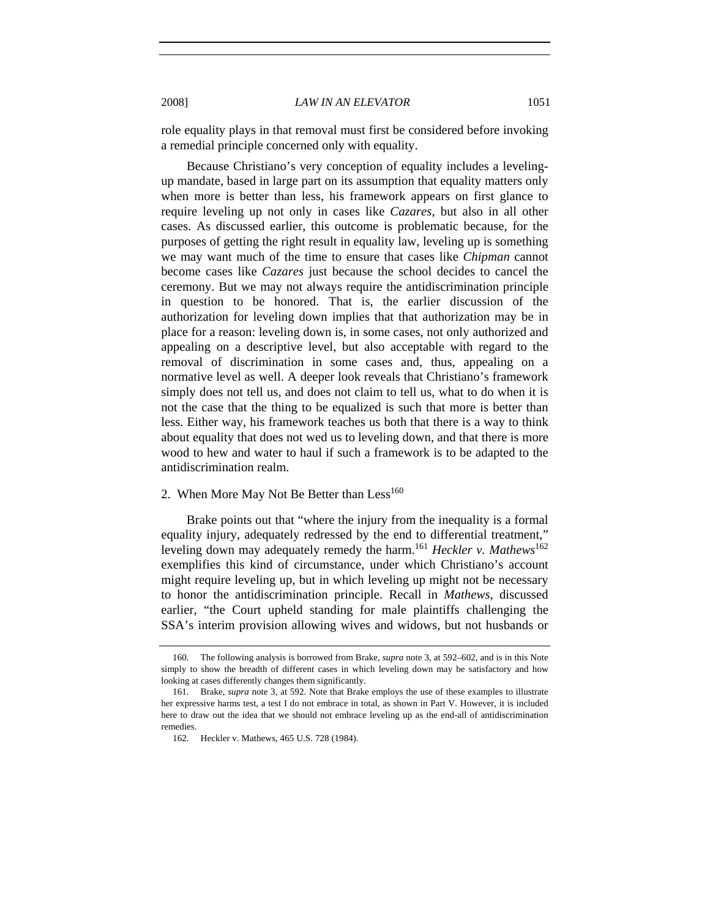role equality plays in that removal must first be considered before invoking a remedial principle concerned only with equality.

Because Christiano's very conception of equality includes a levelingup mandate, based in large part on its assumption that equality matters only when more is better than less, his framework appears on first glance to require leveling up not only in cases like *Cazares*, but also in all other cases. As discussed earlier, this outcome is problematic because, for the purposes of getting the right result in equality law, leveling up is something we may want much of the time to ensure that cases like *Chipman* cannot become cases like *Cazares* just because the school decides to cancel the ceremony. But we may not always require the antidiscrimination principle in question to be honored. That is, the earlier discussion of the authorization for leveling down implies that that authorization may be in place for a reason: leveling down is, in some cases, not only authorized and appealing on a descriptive level, but also acceptable with regard to the removal of discrimination in some cases and, thus, appealing on a normative level as well. A deeper look reveals that Christiano's framework simply does not tell us, and does not claim to tell us, what to do when it is not the case that the thing to be equalized is such that more is better than less. Either way, his framework teaches us both that there is a way to think about equality that does not wed us to leveling down, and that there is more wood to hew and water to haul if such a framework is to be adapted to the antidiscrimination realm.

# 2. When More May Not Be Better than  $Less<sup>160</sup>$

Brake points out that "where the injury from the inequality is a formal equality injury, adequately redressed by the end to differential treatment," leveling down may adequately remedy the harm.<sup>161</sup> *Heckler v. Mathews*<sup>162</sup> exemplifies this kind of circumstance, under which Christiano's account might require leveling up, but in which leveling up might not be necessary to honor the antidiscrimination principle. Recall in *Mathews*, discussed earlier, "the Court upheld standing for male plaintiffs challenging the SSA's interim provision allowing wives and widows, but not husbands or

 <sup>160.</sup> The following analysis is borrowed from Brake, *supra* note 3, at 592–602, and is in this Note simply to show the breadth of different cases in which leveling down may be satisfactory and how looking at cases differently changes them significantly.

 <sup>161.</sup> Brake, *supra* note 3, at 592. Note that Brake employs the use of these examples to illustrate her expressive harms test, a test I do not embrace in total, as shown in Part V. However, it is included here to draw out the idea that we should not embrace leveling up as the end-all of antidiscrimination remedies.

 <sup>162.</sup> Heckler v. Mathews, 465 U.S. 728 (1984).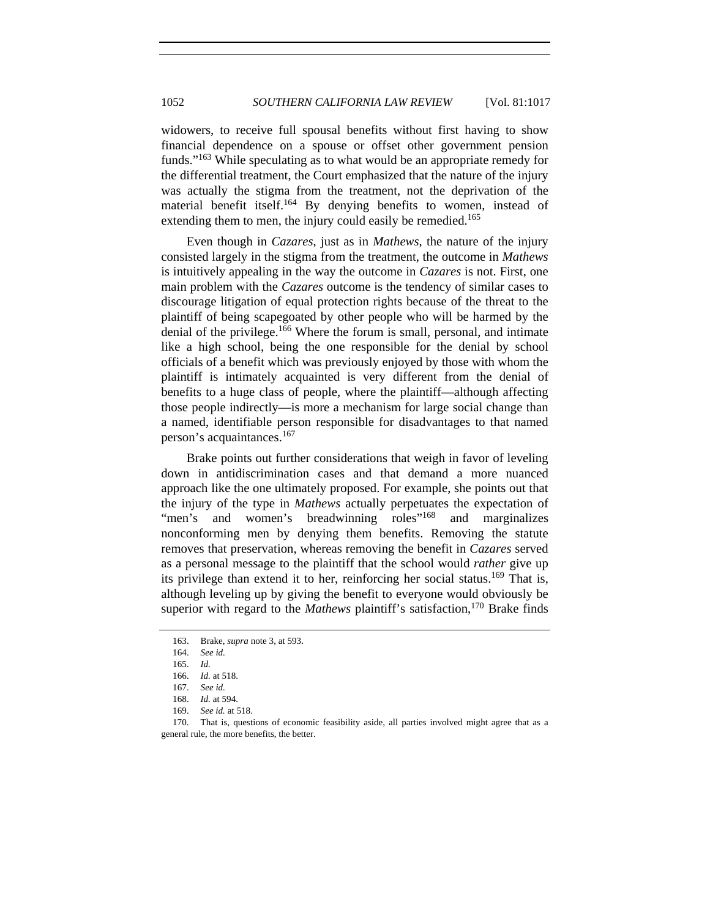widowers, to receive full spousal benefits without first having to show financial dependence on a spouse or offset other government pension funds."163 While speculating as to what would be an appropriate remedy for the differential treatment, the Court emphasized that the nature of the injury was actually the stigma from the treatment, not the deprivation of the material benefit itself.<sup>164</sup> By denying benefits to women, instead of extending them to men, the injury could easily be remedied.<sup>165</sup>

Even though in *Cazares*, just as in *Mathews*, the nature of the injury consisted largely in the stigma from the treatment, the outcome in *Mathews* is intuitively appealing in the way the outcome in *Cazares* is not. First, one main problem with the *Cazares* outcome is the tendency of similar cases to discourage litigation of equal protection rights because of the threat to the plaintiff of being scapegoated by other people who will be harmed by the denial of the privilege.<sup>166</sup> Where the forum is small, personal, and intimate like a high school, being the one responsible for the denial by school officials of a benefit which was previously enjoyed by those with whom the plaintiff is intimately acquainted is very different from the denial of benefits to a huge class of people, where the plaintiff—although affecting those people indirectly—is more a mechanism for large social change than a named, identifiable person responsible for disadvantages to that named person's acquaintances.<sup>167</sup>

Brake points out further considerations that weigh in favor of leveling down in antidiscrimination cases and that demand a more nuanced approach like the one ultimately proposed. For example, she points out that the injury of the type in *Mathews* actually perpetuates the expectation of "men's and women's breadwinning roles"<sup>168</sup> and marginalizes nonconforming men by denying them benefits. Removing the statute removes that preservation, whereas removing the benefit in *Cazares* served as a personal message to the plaintiff that the school would *rather* give up its privilege than extend it to her, reinforcing her social status.<sup>169</sup> That is, although leveling up by giving the benefit to everyone would obviously be superior with regard to the *Mathews* plaintiff's satisfaction,<sup>170</sup> Brake finds

<sup>163.</sup> Brake, *supra* note 3, at 593.

<sup>164.</sup> *See id.*

<sup>165.</sup> *Id.*

<sup>166.</sup> *Id.* at 518.

<sup>167.</sup> *See id.*

<sup>168.</sup> *Id.* at 594.

<sup>169.</sup> *See id.* at 518.

 <sup>170.</sup> That is, questions of economic feasibility aside, all parties involved might agree that as a general rule, the more benefits, the better.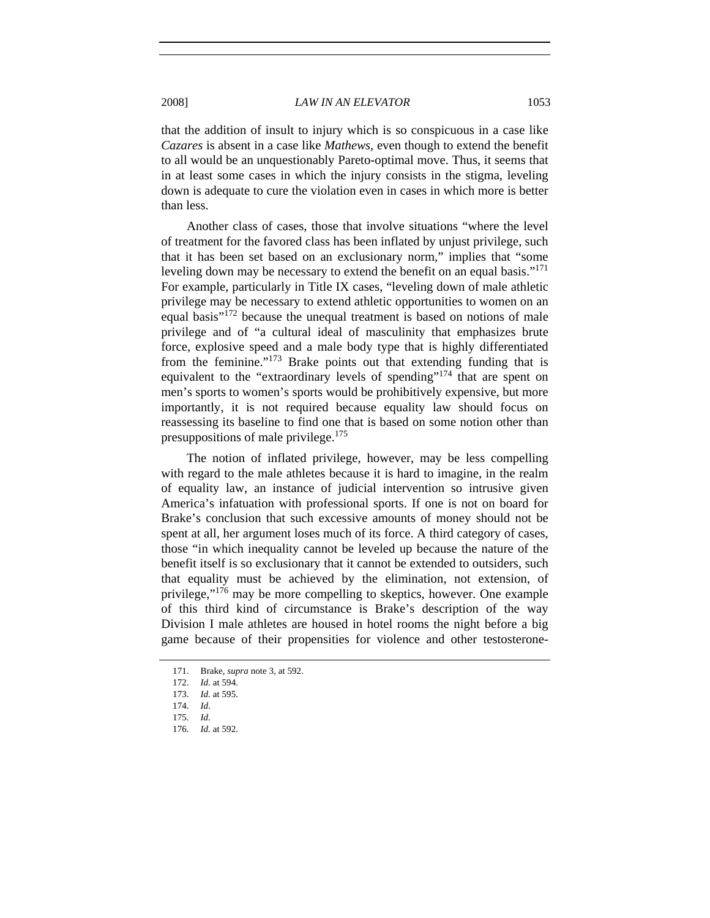that the addition of insult to injury which is so conspicuous in a case like *Cazares* is absent in a case like *Mathews*, even though to extend the benefit to all would be an unquestionably Pareto-optimal move. Thus, it seems that in at least some cases in which the injury consists in the stigma, leveling down is adequate to cure the violation even in cases in which more is better than less.

Another class of cases, those that involve situations "where the level of treatment for the favored class has been inflated by unjust privilege, such that it has been set based on an exclusionary norm," implies that "some leveling down may be necessary to extend the benefit on an equal basis."<sup>171</sup> For example, particularly in Title IX cases, "leveling down of male athletic privilege may be necessary to extend athletic opportunities to women on an equal basis"172 because the unequal treatment is based on notions of male privilege and of "a cultural ideal of masculinity that emphasizes brute force, explosive speed and a male body type that is highly differentiated from the feminine."<sup>173</sup> Brake points out that extending funding that is equivalent to the "extraordinary levels of spending"<sup>174</sup> that are spent on men's sports to women's sports would be prohibitively expensive, but more importantly, it is not required because equality law should focus on reassessing its baseline to find one that is based on some notion other than presuppositions of male privilege.<sup>175</sup>

The notion of inflated privilege, however, may be less compelling with regard to the male athletes because it is hard to imagine, in the realm of equality law, an instance of judicial intervention so intrusive given America's infatuation with professional sports. If one is not on board for Brake's conclusion that such excessive amounts of money should not be spent at all, her argument loses much of its force. A third category of cases, those "in which inequality cannot be leveled up because the nature of the benefit itself is so exclusionary that it cannot be extended to outsiders, such that equality must be achieved by the elimination, not extension, of privilege,"176 may be more compelling to skeptics, however. One example of this third kind of circumstance is Brake's description of the way Division I male athletes are housed in hotel rooms the night before a big game because of their propensities for violence and other testosterone-

<sup>171.</sup> Brake, *supra* note 3, at 592.

<sup>172.</sup> *Id.* at 594.

<sup>173.</sup> *Id.* at 595.

<sup>174.</sup> *Id.*

<sup>175.</sup> *Id.*

<sup>176.</sup> *Id.* at 592.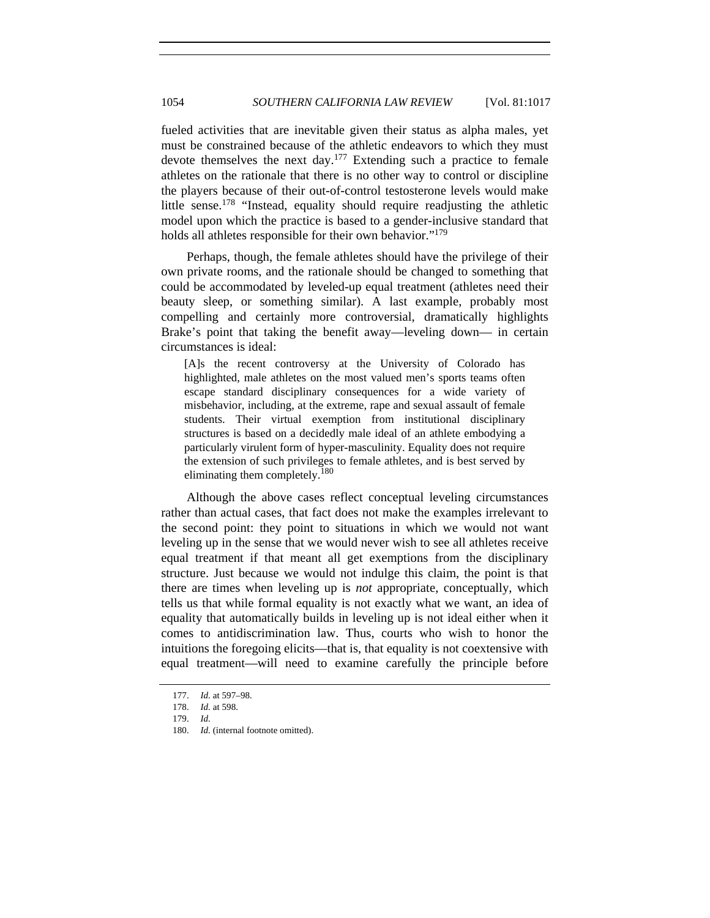fueled activities that are inevitable given their status as alpha males, yet must be constrained because of the athletic endeavors to which they must devote themselves the next day.<sup>177</sup> Extending such a practice to female athletes on the rationale that there is no other way to control or discipline the players because of their out-of-control testosterone levels would make little sense.<sup>178</sup> "Instead, equality should require readjusting the athletic model upon which the practice is based to a gender-inclusive standard that holds all athletes responsible for their own behavior."<sup>179</sup>

Perhaps, though, the female athletes should have the privilege of their own private rooms, and the rationale should be changed to something that could be accommodated by leveled-up equal treatment (athletes need their beauty sleep, or something similar). A last example, probably most compelling and certainly more controversial, dramatically highlights Brake's point that taking the benefit away—leveling down— in certain circumstances is ideal:

[A]s the recent controversy at the University of Colorado has highlighted, male athletes on the most valued men's sports teams often escape standard disciplinary consequences for a wide variety of misbehavior, including, at the extreme, rape and sexual assault of female students. Their virtual exemption from institutional disciplinary structures is based on a decidedly male ideal of an athlete embodying a particularly virulent form of hyper-masculinity. Equality does not require the extension of such privileges to female athletes, and is best served by eliminating them completely.<sup>180</sup>

Although the above cases reflect conceptual leveling circumstances rather than actual cases, that fact does not make the examples irrelevant to the second point: they point to situations in which we would not want leveling up in the sense that we would never wish to see all athletes receive equal treatment if that meant all get exemptions from the disciplinary structure. Just because we would not indulge this claim, the point is that there are times when leveling up is *not* appropriate, conceptually, which tells us that while formal equality is not exactly what we want, an idea of equality that automatically builds in leveling up is not ideal either when it comes to antidiscrimination law. Thus, courts who wish to honor the intuitions the foregoing elicits—that is, that equality is not coextensive with equal treatment—will need to examine carefully the principle before

<sup>177.</sup> *Id.* at 597–98.

<sup>178.</sup> *Id.* at 598.

<sup>179.</sup> *Id.*

<sup>180.</sup> *Id.* (internal footnote omitted).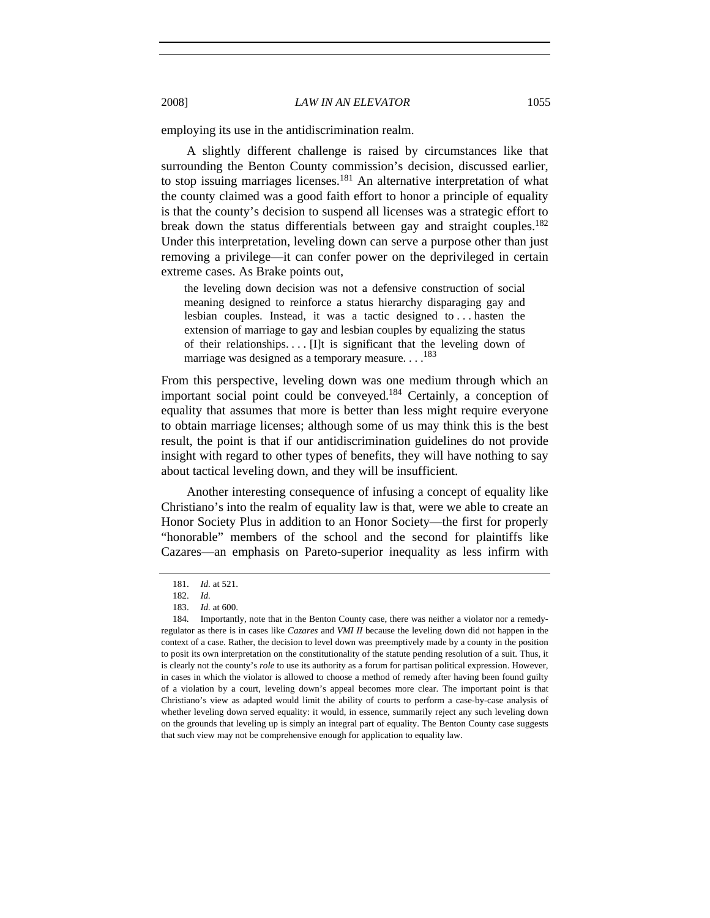employing its use in the antidiscrimination realm.

A slightly different challenge is raised by circumstances like that surrounding the Benton County commission's decision, discussed earlier, to stop issuing marriages licenses.<sup>181</sup> An alternative interpretation of what the county claimed was a good faith effort to honor a principle of equality is that the county's decision to suspend all licenses was a strategic effort to break down the status differentials between gay and straight couples.<sup>182</sup> Under this interpretation, leveling down can serve a purpose other than just removing a privilege—it can confer power on the deprivileged in certain extreme cases. As Brake points out,

the leveling down decision was not a defensive construction of social meaning designed to reinforce a status hierarchy disparaging gay and lesbian couples. Instead, it was a tactic designed to . . . hasten the extension of marriage to gay and lesbian couples by equalizing the status of their relationships. . . . [I]t is significant that the leveling down of marriage was designed as a temporary measure. . . .<sup>183</sup>

From this perspective, leveling down was one medium through which an important social point could be conveyed.<sup>184</sup> Certainly, a conception of equality that assumes that more is better than less might require everyone to obtain marriage licenses; although some of us may think this is the best result, the point is that if our antidiscrimination guidelines do not provide insight with regard to other types of benefits, they will have nothing to say about tactical leveling down, and they will be insufficient.

Another interesting consequence of infusing a concept of equality like Christiano's into the realm of equality law is that, were we able to create an Honor Society Plus in addition to an Honor Society—the first for properly "honorable" members of the school and the second for plaintiffs like Cazares—an emphasis on Pareto-superior inequality as less infirm with

<sup>181.</sup> *Id.* at 521.

<sup>182.</sup> *Id.*

<sup>183.</sup> *Id.* at 600.

 <sup>184.</sup> Importantly, note that in the Benton County case, there was neither a violator nor a remedyregulator as there is in cases like *Cazares* and *VMI II* because the leveling down did not happen in the context of a case. Rather, the decision to level down was preemptively made by a county in the position to posit its own interpretation on the constitutionality of the statute pending resolution of a suit. Thus, it is clearly not the county's *role* to use its authority as a forum for partisan political expression. However, in cases in which the violator is allowed to choose a method of remedy after having been found guilty of a violation by a court, leveling down's appeal becomes more clear. The important point is that Christiano's view as adapted would limit the ability of courts to perform a case-by-case analysis of whether leveling down served equality: it would, in essence, summarily reject any such leveling down on the grounds that leveling up is simply an integral part of equality. The Benton County case suggests that such view may not be comprehensive enough for application to equality law.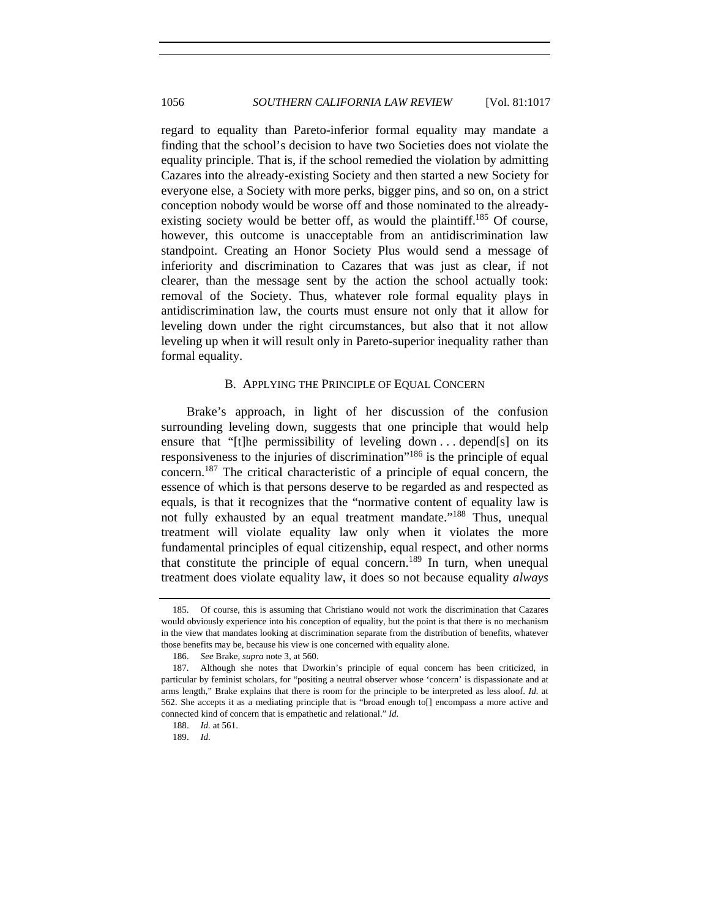regard to equality than Pareto-inferior formal equality may mandate a finding that the school's decision to have two Societies does not violate the equality principle. That is, if the school remedied the violation by admitting Cazares into the already-existing Society and then started a new Society for everyone else, a Society with more perks, bigger pins, and so on, on a strict conception nobody would be worse off and those nominated to the alreadyexisting society would be better off, as would the plaintiff.<sup>185</sup> Of course, however, this outcome is unacceptable from an antidiscrimination law standpoint. Creating an Honor Society Plus would send a message of inferiority and discrimination to Cazares that was just as clear, if not clearer, than the message sent by the action the school actually took: removal of the Society. Thus, whatever role formal equality plays in antidiscrimination law, the courts must ensure not only that it allow for leveling down under the right circumstances, but also that it not allow leveling up when it will result only in Pareto-superior inequality rather than formal equality.

## B. APPLYING THE PRINCIPLE OF EQUAL CONCERN

Brake's approach, in light of her discussion of the confusion surrounding leveling down, suggests that one principle that would help ensure that "[t]he permissibility of leveling down . . . depend[s] on its responsiveness to the injuries of discrimination<sup>"186</sup> is the principle of equal concern.187 The critical characteristic of a principle of equal concern, the essence of which is that persons deserve to be regarded as and respected as equals, is that it recognizes that the "normative content of equality law is not fully exhausted by an equal treatment mandate."<sup>188</sup> Thus, unequal treatment will violate equality law only when it violates the more fundamental principles of equal citizenship, equal respect, and other norms that constitute the principle of equal concern.<sup>189</sup> In turn, when unequal treatment does violate equality law, it does so not because equality *always*

 <sup>185.</sup> Of course, this is assuming that Christiano would not work the discrimination that Cazares would obviously experience into his conception of equality, but the point is that there is no mechanism in the view that mandates looking at discrimination separate from the distribution of benefits, whatever those benefits may be, because his view is one concerned with equality alone.

<sup>186.</sup> *See* Brake, *supra* note 3, at 560.

 <sup>187.</sup> Although she notes that Dworkin's principle of equal concern has been criticized, in particular by feminist scholars, for "positing a neutral observer whose 'concern' is dispassionate and at arms length," Brake explains that there is room for the principle to be interpreted as less aloof. *Id.* at 562. She accepts it as a mediating principle that is "broad enough to[] encompass a more active and connected kind of concern that is empathetic and relational." *Id.* 

<sup>188.</sup> *Id.* at 561.

<sup>189.</sup> *Id.*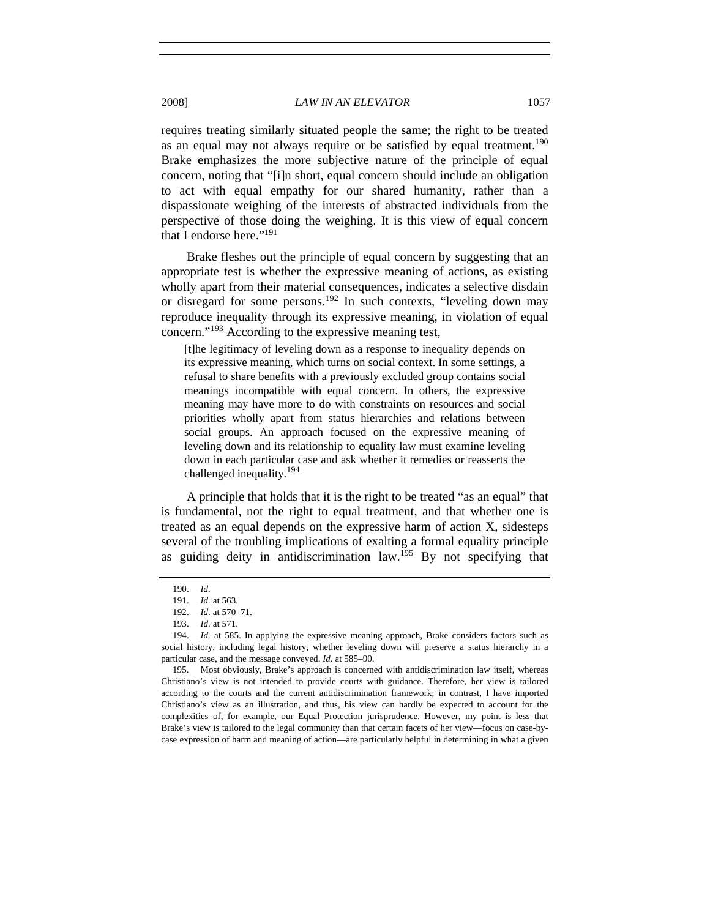requires treating similarly situated people the same; the right to be treated as an equal may not always require or be satisfied by equal treatment.<sup>190</sup> Brake emphasizes the more subjective nature of the principle of equal concern, noting that "[i]n short, equal concern should include an obligation to act with equal empathy for our shared humanity, rather than a dispassionate weighing of the interests of abstracted individuals from the perspective of those doing the weighing. It is this view of equal concern that I endorse here."<sup>191</sup>

Brake fleshes out the principle of equal concern by suggesting that an appropriate test is whether the expressive meaning of actions, as existing wholly apart from their material consequences, indicates a selective disdain or disregard for some persons.<sup>192</sup> In such contexts, "leveling down may reproduce inequality through its expressive meaning, in violation of equal concern."193 According to the expressive meaning test,

[t]he legitimacy of leveling down as a response to inequality depends on its expressive meaning, which turns on social context. In some settings, a refusal to share benefits with a previously excluded group contains social meanings incompatible with equal concern. In others, the expressive meaning may have more to do with constraints on resources and social priorities wholly apart from status hierarchies and relations between social groups. An approach focused on the expressive meaning of leveling down and its relationship to equality law must examine leveling down in each particular case and ask whether it remedies or reasserts the challenged inequality.<sup>194</sup>

A principle that holds that it is the right to be treated "as an equal" that is fundamental, not the right to equal treatment, and that whether one is treated as an equal depends on the expressive harm of action X, sidesteps several of the troubling implications of exalting a formal equality principle as guiding deity in antidiscrimination law.<sup>195</sup> By not specifying that

 <sup>190.</sup> *Id.*

<sup>191.</sup> *Id.* at 563.

 <sup>192.</sup> *Id.* at 570–71.

 <sup>193.</sup> *Id.* at 571.

<sup>194.</sup> *Id.* at 585. In applying the expressive meaning approach, Brake considers factors such as social history, including legal history, whether leveling down will preserve a status hierarchy in a particular case, and the message conveyed. *Id.* at 585–90.

 <sup>195.</sup> Most obviously, Brake's approach is concerned with antidiscrimination law itself, whereas Christiano's view is not intended to provide courts with guidance. Therefore, her view is tailored according to the courts and the current antidiscrimination framework; in contrast, I have imported Christiano's view as an illustration, and thus, his view can hardly be expected to account for the complexities of, for example, our Equal Protection jurisprudence. However, my point is less that Brake's view is tailored to the legal community than that certain facets of her view—focus on case-bycase expression of harm and meaning of action—are particularly helpful in determining in what a given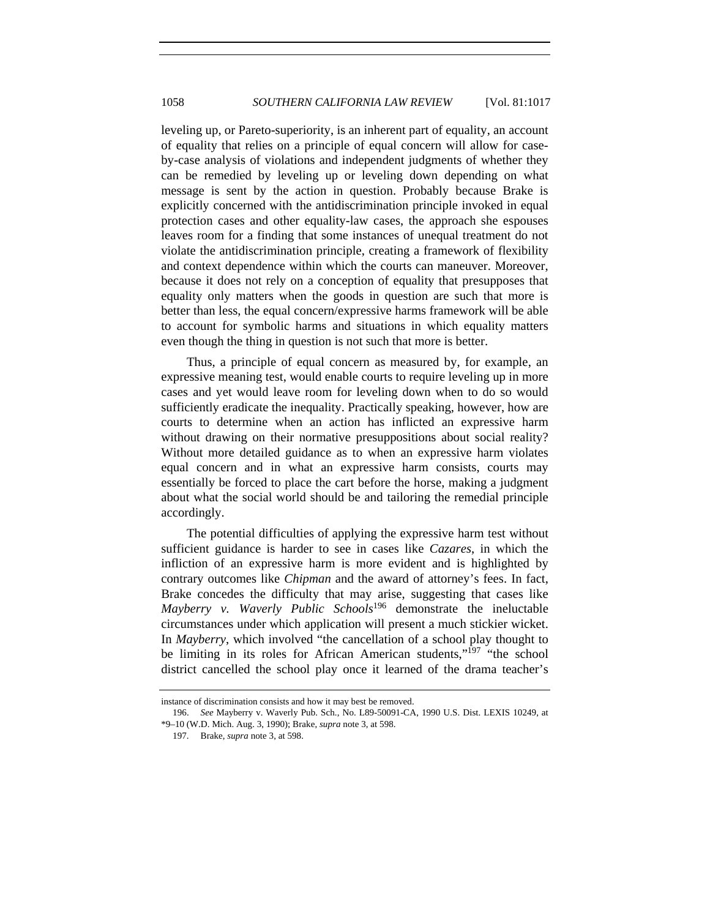leveling up, or Pareto-superiority, is an inherent part of equality, an account of equality that relies on a principle of equal concern will allow for caseby-case analysis of violations and independent judgments of whether they can be remedied by leveling up or leveling down depending on what message is sent by the action in question. Probably because Brake is explicitly concerned with the antidiscrimination principle invoked in equal protection cases and other equality-law cases, the approach she espouses leaves room for a finding that some instances of unequal treatment do not violate the antidiscrimination principle, creating a framework of flexibility and context dependence within which the courts can maneuver. Moreover, because it does not rely on a conception of equality that presupposes that equality only matters when the goods in question are such that more is better than less, the equal concern/expressive harms framework will be able to account for symbolic harms and situations in which equality matters even though the thing in question is not such that more is better.

Thus, a principle of equal concern as measured by, for example, an expressive meaning test, would enable courts to require leveling up in more cases and yet would leave room for leveling down when to do so would sufficiently eradicate the inequality. Practically speaking, however, how are courts to determine when an action has inflicted an expressive harm without drawing on their normative presuppositions about social reality? Without more detailed guidance as to when an expressive harm violates equal concern and in what an expressive harm consists, courts may essentially be forced to place the cart before the horse, making a judgment about what the social world should be and tailoring the remedial principle accordingly.

The potential difficulties of applying the expressive harm test without sufficient guidance is harder to see in cases like *Cazares*, in which the infliction of an expressive harm is more evident and is highlighted by contrary outcomes like *Chipman* and the award of attorney's fees. In fact, Brake concedes the difficulty that may arise, suggesting that cases like *Mayberry v. Waverly Public Schools*196 demonstrate the ineluctable circumstances under which application will present a much stickier wicket. In *Mayberry*, which involved "the cancellation of a school play thought to be limiting in its roles for African American students,"197 "the school district cancelled the school play once it learned of the drama teacher's

instance of discrimination consists and how it may best be removed.

<sup>196.</sup> *See* Mayberry v. Waverly Pub. Sch., No. L89-50091-CA, 1990 U.S. Dist. LEXIS 10249, at \*9–10 (W.D. Mich. Aug. 3, 1990); Brake, *supra* note 3, at 598.

 <sup>197.</sup> Brake, *supra* note 3, at 598.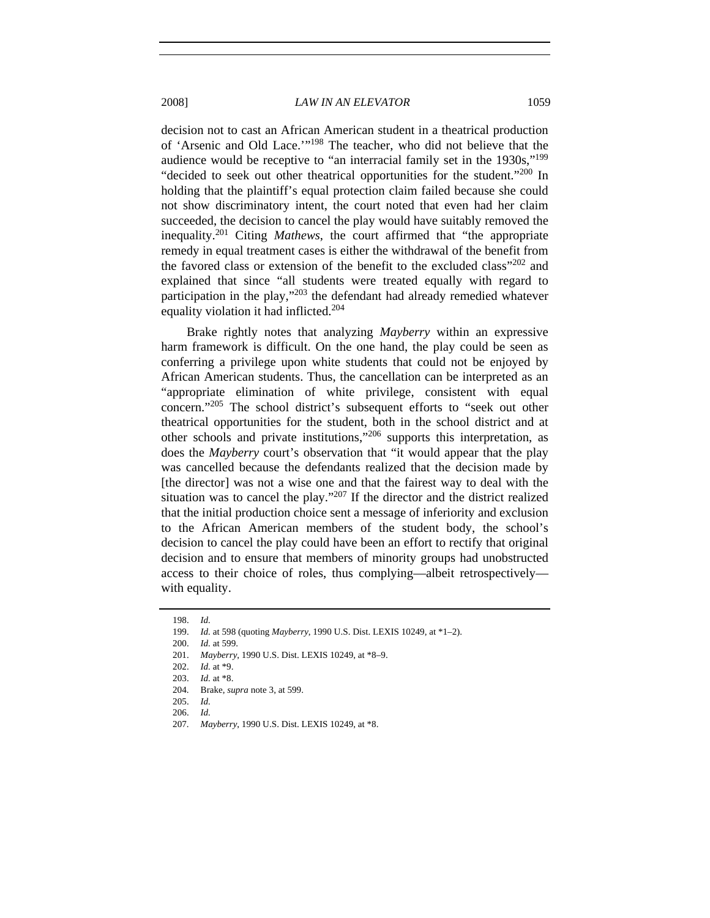decision not to cast an African American student in a theatrical production of 'Arsenic and Old Lace.'"198 The teacher, who did not believe that the audience would be receptive to "an interracial family set in the 1930s,"199 "decided to seek out other theatrical opportunities for the student."<sup>200</sup> In holding that the plaintiff's equal protection claim failed because she could not show discriminatory intent, the court noted that even had her claim succeeded, the decision to cancel the play would have suitably removed the inequality.201 Citing *Mathews*, the court affirmed that "the appropriate remedy in equal treatment cases is either the withdrawal of the benefit from the favored class or extension of the benefit to the excluded class"<sup>202</sup> and explained that since "all students were treated equally with regard to participation in the play,"203 the defendant had already remedied whatever equality violation it had inflicted.204

Brake rightly notes that analyzing *Mayberry* within an expressive harm framework is difficult. On the one hand, the play could be seen as conferring a privilege upon white students that could not be enjoyed by African American students. Thus, the cancellation can be interpreted as an "appropriate elimination of white privilege, consistent with equal concern."205 The school district's subsequent efforts to "seek out other theatrical opportunities for the student, both in the school district and at other schools and private institutions,"206 supports this interpretation, as does the *Mayberry* court's observation that "it would appear that the play was cancelled because the defendants realized that the decision made by [the director] was not a wise one and that the fairest way to deal with the situation was to cancel the play."207 If the director and the district realized that the initial production choice sent a message of inferiority and exclusion to the African American members of the student body, the school's decision to cancel the play could have been an effort to rectify that original decision and to ensure that members of minority groups had unobstructed access to their choice of roles, thus complying—albeit retrospectively with equality.

<sup>198.</sup> *Id.*

 <sup>199.</sup> *Id.* at 598 (quoting *Mayberry*, 1990 U.S. Dist. LEXIS 10249, at \*1–2).

<sup>200.</sup> *Id.* at 599.

<sup>201.</sup> *Mayberry*, 1990 U.S. Dist. LEXIS 10249, at \*8–9.

<sup>202.</sup> *Id.* at \*9.

<sup>203.</sup> *Id.* at \*8.

 <sup>204.</sup> Brake, *supra* note 3, at 599.

<sup>205.</sup> *Id.*

<sup>206.</sup> *Id.*

<sup>207.</sup> *Mayberry*, 1990 U.S. Dist. LEXIS 10249, at \*8.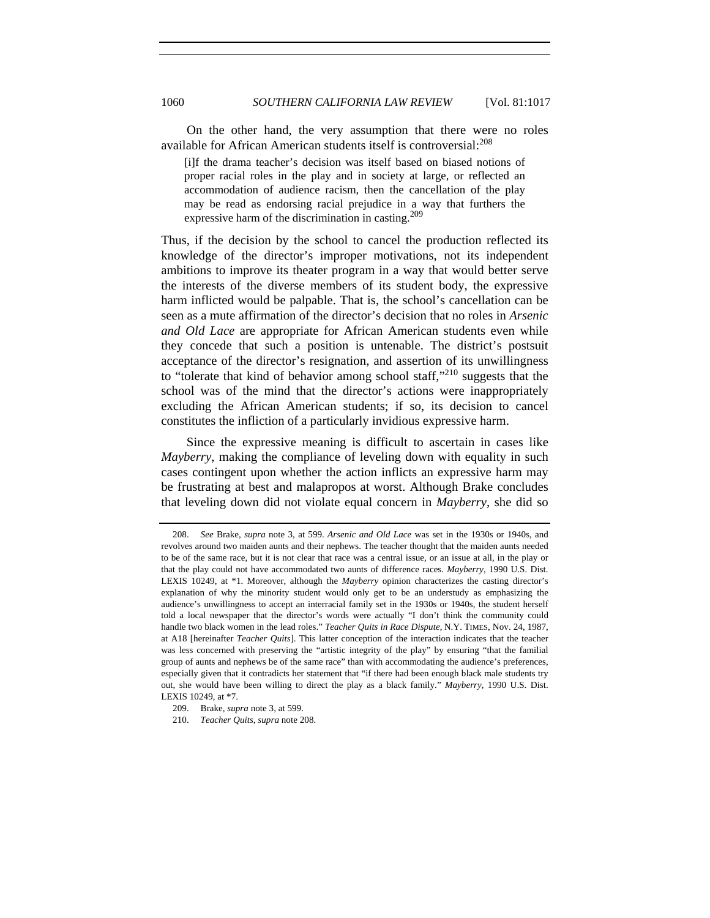On the other hand, the very assumption that there were no roles available for African American students itself is controversial:<sup>208</sup>

[i]f the drama teacher's decision was itself based on biased notions of proper racial roles in the play and in society at large, or reflected an accommodation of audience racism, then the cancellation of the play may be read as endorsing racial prejudice in a way that furthers the expressive harm of the discrimination in casting.<sup>209</sup>

Thus, if the decision by the school to cancel the production reflected its knowledge of the director's improper motivations, not its independent ambitions to improve its theater program in a way that would better serve the interests of the diverse members of its student body, the expressive harm inflicted would be palpable. That is, the school's cancellation can be seen as a mute affirmation of the director's decision that no roles in *Arsenic and Old Lace* are appropriate for African American students even while they concede that such a position is untenable. The district's postsuit acceptance of the director's resignation, and assertion of its unwillingness to "tolerate that kind of behavior among school staff,"210 suggests that the school was of the mind that the director's actions were inappropriately excluding the African American students; if so, its decision to cancel constitutes the infliction of a particularly invidious expressive harm.

Since the expressive meaning is difficult to ascertain in cases like *Mayberry*, making the compliance of leveling down with equality in such cases contingent upon whether the action inflicts an expressive harm may be frustrating at best and malapropos at worst. Although Brake concludes that leveling down did not violate equal concern in *Mayberry*, she did so

<sup>208.</sup> *See* Brake, *supra* note 3, at 599. *Arsenic and Old Lace* was set in the 1930s or 1940s, and revolves around two maiden aunts and their nephews. The teacher thought that the maiden aunts needed to be of the same race, but it is not clear that race was a central issue, or an issue at all, in the play or that the play could not have accommodated two aunts of difference races. *Mayberry*, 1990 U.S. Dist. LEXIS 10249, at \*1. Moreover, although the *Mayberry* opinion characterizes the casting director's explanation of why the minority student would only get to be an understudy as emphasizing the audience's unwillingness to accept an interracial family set in the 1930s or 1940s, the student herself told a local newspaper that the director's words were actually "I don't think the community could handle two black women in the lead roles." *Teacher Quits in Race Dispute*, N.Y. TIMES, Nov. 24, 1987, at A18 [hereinafter *Teacher Quits*]. This latter conception of the interaction indicates that the teacher was less concerned with preserving the "artistic integrity of the play" by ensuring "that the familial group of aunts and nephews be of the same race" than with accommodating the audience's preferences, especially given that it contradicts her statement that "if there had been enough black male students try out, she would have been willing to direct the play as a black family." *Mayberry*, 1990 U.S. Dist. LEXIS 10249, at \*7.

<sup>209.</sup> Brake, *supra* note 3, at 599.

<sup>210.</sup> *Teacher Quits*, *supra* note 208.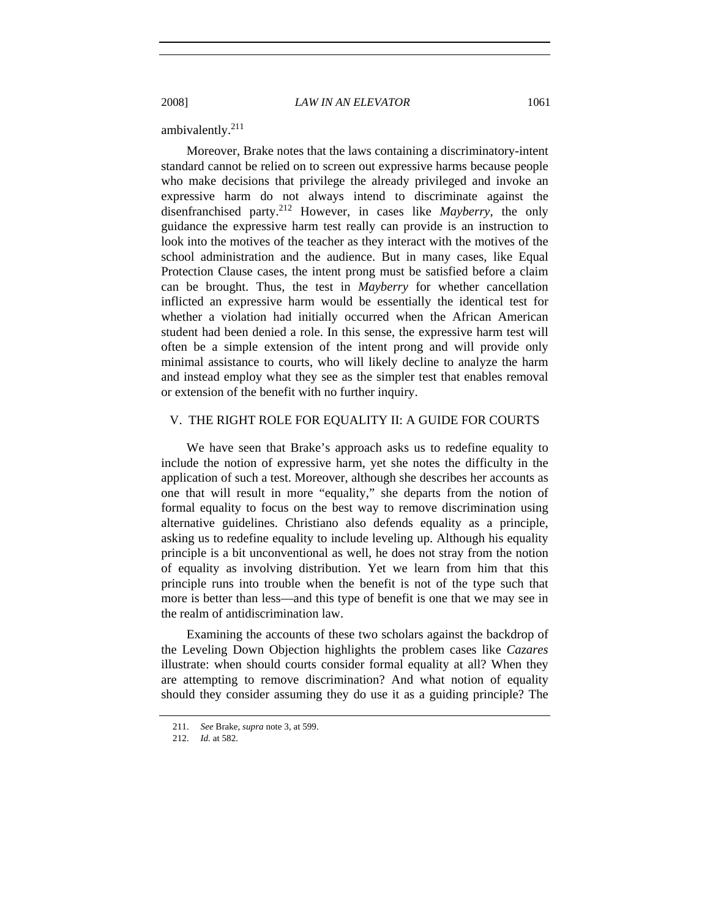ambivalently.211

Moreover, Brake notes that the laws containing a discriminatory-intent standard cannot be relied on to screen out expressive harms because people who make decisions that privilege the already privileged and invoke an expressive harm do not always intend to discriminate against the disenfranchised party.212 However, in cases like *Mayberry*, the only guidance the expressive harm test really can provide is an instruction to look into the motives of the teacher as they interact with the motives of the school administration and the audience. But in many cases, like Equal Protection Clause cases, the intent prong must be satisfied before a claim can be brought. Thus, the test in *Mayberry* for whether cancellation inflicted an expressive harm would be essentially the identical test for whether a violation had initially occurred when the African American student had been denied a role. In this sense, the expressive harm test will often be a simple extension of the intent prong and will provide only minimal assistance to courts, who will likely decline to analyze the harm and instead employ what they see as the simpler test that enables removal or extension of the benefit with no further inquiry.

# V. THE RIGHT ROLE FOR EQUALITY II: A GUIDE FOR COURTS

We have seen that Brake's approach asks us to redefine equality to include the notion of expressive harm, yet she notes the difficulty in the application of such a test. Moreover, although she describes her accounts as one that will result in more "equality," she departs from the notion of formal equality to focus on the best way to remove discrimination using alternative guidelines. Christiano also defends equality as a principle, asking us to redefine equality to include leveling up. Although his equality principle is a bit unconventional as well, he does not stray from the notion of equality as involving distribution. Yet we learn from him that this principle runs into trouble when the benefit is not of the type such that more is better than less—and this type of benefit is one that we may see in the realm of antidiscrimination law.

Examining the accounts of these two scholars against the backdrop of the Leveling Down Objection highlights the problem cases like *Cazares*  illustrate: when should courts consider formal equality at all? When they are attempting to remove discrimination? And what notion of equality should they consider assuming they do use it as a guiding principle? The

<sup>211.</sup> *See* Brake, *supra* note 3, at 599.

<sup>212.</sup> *Id.* at 582.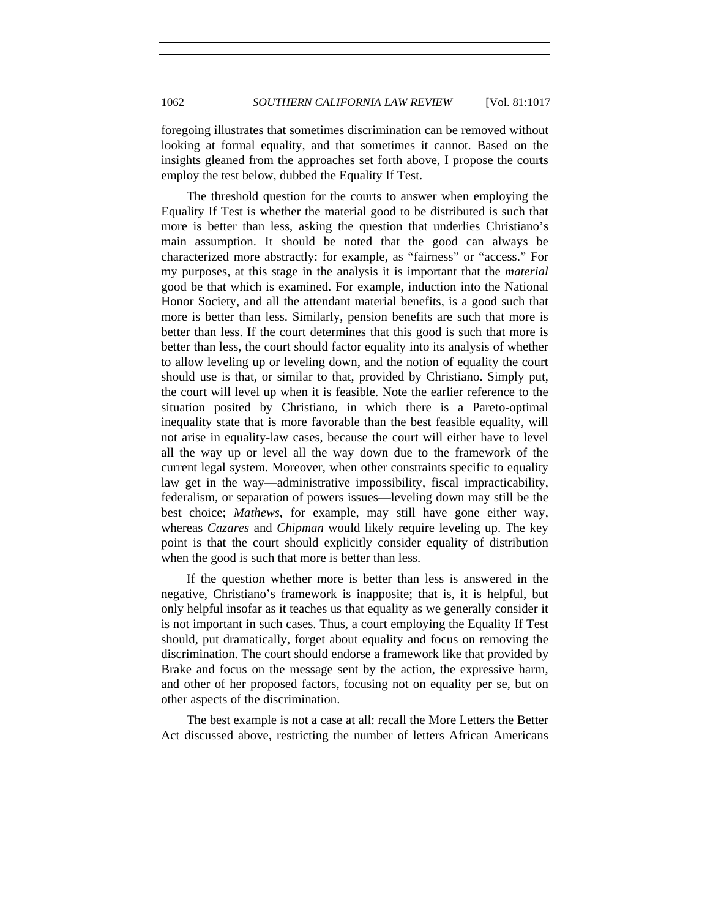foregoing illustrates that sometimes discrimination can be removed without looking at formal equality, and that sometimes it cannot. Based on the insights gleaned from the approaches set forth above, I propose the courts employ the test below, dubbed the Equality If Test.

The threshold question for the courts to answer when employing the Equality If Test is whether the material good to be distributed is such that more is better than less, asking the question that underlies Christiano's main assumption. It should be noted that the good can always be characterized more abstractly: for example, as "fairness" or "access." For my purposes, at this stage in the analysis it is important that the *material*  good be that which is examined. For example, induction into the National Honor Society, and all the attendant material benefits, is a good such that more is better than less. Similarly, pension benefits are such that more is better than less. If the court determines that this good is such that more is better than less, the court should factor equality into its analysis of whether to allow leveling up or leveling down, and the notion of equality the court should use is that, or similar to that, provided by Christiano. Simply put, the court will level up when it is feasible. Note the earlier reference to the situation posited by Christiano, in which there is a Pareto-optimal inequality state that is more favorable than the best feasible equality, will not arise in equality-law cases, because the court will either have to level all the way up or level all the way down due to the framework of the current legal system. Moreover, when other constraints specific to equality law get in the way—administrative impossibility, fiscal impracticability, federalism, or separation of powers issues—leveling down may still be the best choice; *Mathews*, for example, may still have gone either way, whereas *Cazares* and *Chipman* would likely require leveling up. The key point is that the court should explicitly consider equality of distribution when the good is such that more is better than less.

If the question whether more is better than less is answered in the negative, Christiano's framework is inapposite; that is, it is helpful, but only helpful insofar as it teaches us that equality as we generally consider it is not important in such cases. Thus, a court employing the Equality If Test should, put dramatically, forget about equality and focus on removing the discrimination. The court should endorse a framework like that provided by Brake and focus on the message sent by the action, the expressive harm, and other of her proposed factors, focusing not on equality per se, but on other aspects of the discrimination.

The best example is not a case at all: recall the More Letters the Better Act discussed above, restricting the number of letters African Americans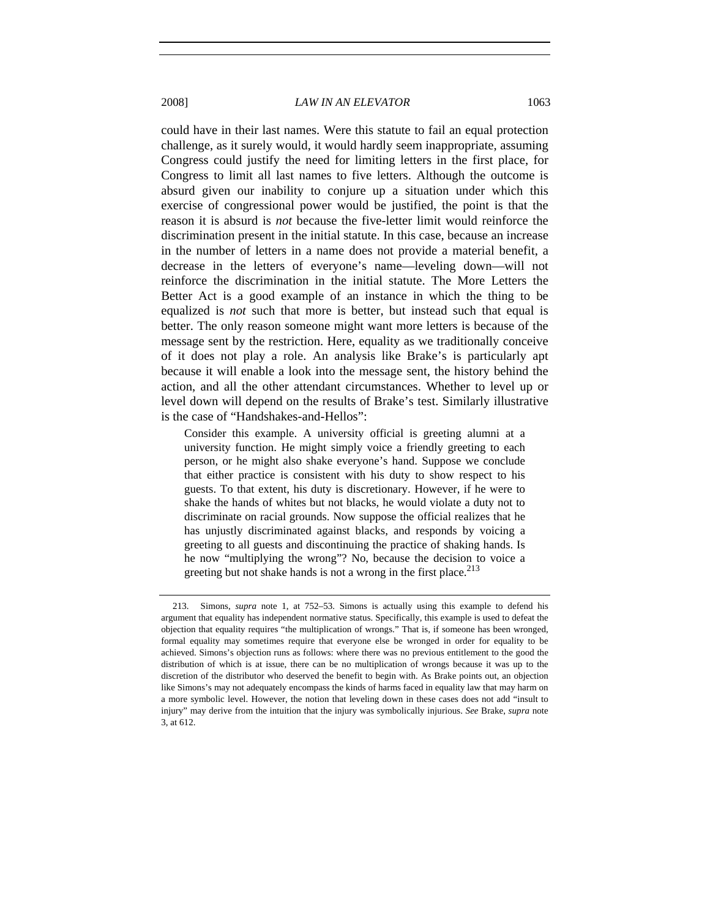could have in their last names. Were this statute to fail an equal protection challenge, as it surely would, it would hardly seem inappropriate, assuming Congress could justify the need for limiting letters in the first place, for Congress to limit all last names to five letters. Although the outcome is absurd given our inability to conjure up a situation under which this exercise of congressional power would be justified, the point is that the reason it is absurd is *not* because the five-letter limit would reinforce the discrimination present in the initial statute. In this case, because an increase in the number of letters in a name does not provide a material benefit, a decrease in the letters of everyone's name—leveling down—will not reinforce the discrimination in the initial statute. The More Letters the Better Act is a good example of an instance in which the thing to be equalized is *not* such that more is better, but instead such that equal is better. The only reason someone might want more letters is because of the message sent by the restriction. Here, equality as we traditionally conceive of it does not play a role. An analysis like Brake's is particularly apt because it will enable a look into the message sent, the history behind the action, and all the other attendant circumstances. Whether to level up or level down will depend on the results of Brake's test. Similarly illustrative is the case of "Handshakes-and-Hellos":

Consider this example. A university official is greeting alumni at a university function. He might simply voice a friendly greeting to each person, or he might also shake everyone's hand. Suppose we conclude that either practice is consistent with his duty to show respect to his guests. To that extent, his duty is discretionary. However, if he were to shake the hands of whites but not blacks, he would violate a duty not to discriminate on racial grounds. Now suppose the official realizes that he has unjustly discriminated against blacks, and responds by voicing a greeting to all guests and discontinuing the practice of shaking hands. Is he now "multiplying the wrong"? No, because the decision to voice a greeting but not shake hands is not a wrong in the first place. $2^{13}$ 

 <sup>213.</sup> Simons, *supra* note 1, at 752–53. Simons is actually using this example to defend his argument that equality has independent normative status. Specifically, this example is used to defeat the objection that equality requires "the multiplication of wrongs." That is, if someone has been wronged, formal equality may sometimes require that everyone else be wronged in order for equality to be achieved. Simons's objection runs as follows: where there was no previous entitlement to the good the distribution of which is at issue, there can be no multiplication of wrongs because it was up to the discretion of the distributor who deserved the benefit to begin with. As Brake points out, an objection like Simons's may not adequately encompass the kinds of harms faced in equality law that may harm on a more symbolic level. However, the notion that leveling down in these cases does not add "insult to injury" may derive from the intuition that the injury was symbolically injurious. *See* Brake, *supra* note 3, at 612.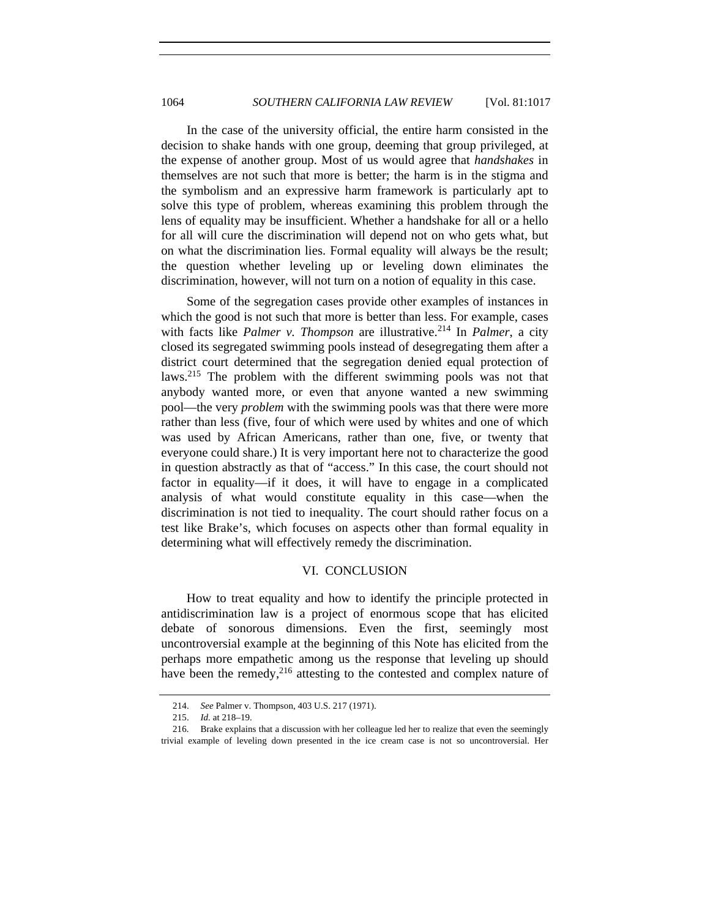In the case of the university official, the entire harm consisted in the decision to shake hands with one group, deeming that group privileged, at the expense of another group. Most of us would agree that *handshakes* in themselves are not such that more is better; the harm is in the stigma and the symbolism and an expressive harm framework is particularly apt to solve this type of problem, whereas examining this problem through the lens of equality may be insufficient. Whether a handshake for all or a hello for all will cure the discrimination will depend not on who gets what, but on what the discrimination lies. Formal equality will always be the result; the question whether leveling up or leveling down eliminates the discrimination, however, will not turn on a notion of equality in this case.

Some of the segregation cases provide other examples of instances in which the good is not such that more is better than less. For example, cases with facts like *Palmer v. Thompson* are illustrative.<sup>214</sup> In *Palmer*, a city closed its segregated swimming pools instead of desegregating them after a district court determined that the segregation denied equal protection of laws.<sup>215</sup> The problem with the different swimming pools was not that anybody wanted more, or even that anyone wanted a new swimming pool—the very *problem* with the swimming pools was that there were more rather than less (five, four of which were used by whites and one of which was used by African Americans, rather than one, five, or twenty that everyone could share.) It is very important here not to characterize the good in question abstractly as that of "access." In this case, the court should not factor in equality—if it does, it will have to engage in a complicated analysis of what would constitute equality in this case—when the discrimination is not tied to inequality. The court should rather focus on a test like Brake's, which focuses on aspects other than formal equality in determining what will effectively remedy the discrimination.

#### VI. CONCLUSION

How to treat equality and how to identify the principle protected in antidiscrimination law is a project of enormous scope that has elicited debate of sonorous dimensions. Even the first, seemingly most uncontroversial example at the beginning of this Note has elicited from the perhaps more empathetic among us the response that leveling up should have been the remedy, $^{216}$  attesting to the contested and complex nature of

 <sup>214.</sup> *See* Palmer v. Thompson, 403 U.S. 217 (1971).

<sup>215.</sup> *Id.* at 218–19.

 <sup>216.</sup> Brake explains that a discussion with her colleague led her to realize that even the seemingly trivial example of leveling down presented in the ice cream case is not so uncontroversial. Her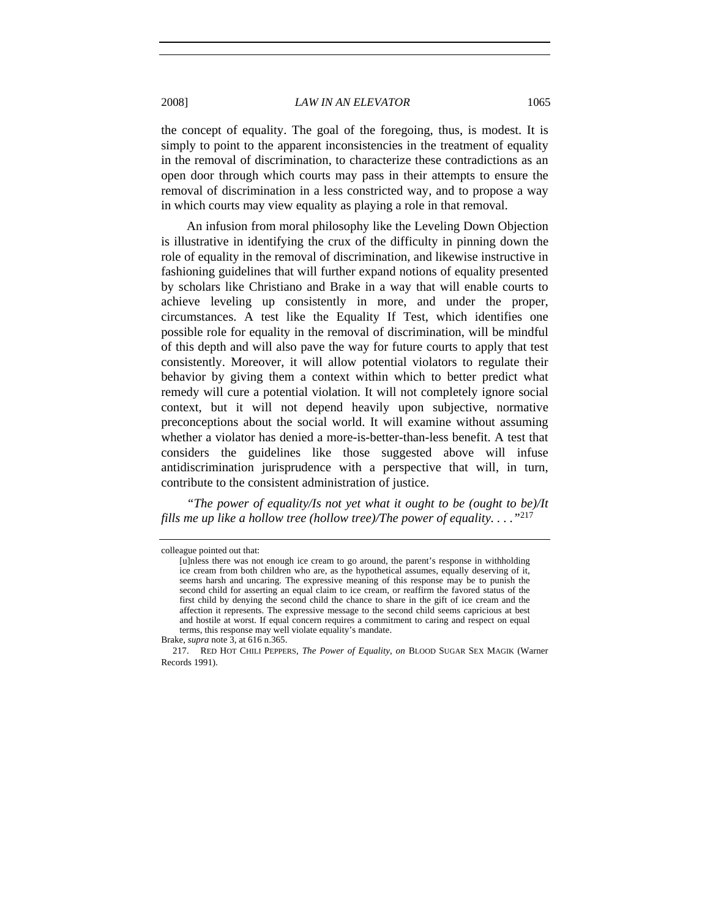the concept of equality. The goal of the foregoing, thus, is modest. It is simply to point to the apparent inconsistencies in the treatment of equality in the removal of discrimination, to characterize these contradictions as an open door through which courts may pass in their attempts to ensure the removal of discrimination in a less constricted way, and to propose a way in which courts may view equality as playing a role in that removal.

An infusion from moral philosophy like the Leveling Down Objection is illustrative in identifying the crux of the difficulty in pinning down the role of equality in the removal of discrimination, and likewise instructive in fashioning guidelines that will further expand notions of equality presented by scholars like Christiano and Brake in a way that will enable courts to achieve leveling up consistently in more, and under the proper, circumstances. A test like the Equality If Test, which identifies one possible role for equality in the removal of discrimination, will be mindful of this depth and will also pave the way for future courts to apply that test consistently. Moreover, it will allow potential violators to regulate their behavior by giving them a context within which to better predict what remedy will cure a potential violation. It will not completely ignore social context, but it will not depend heavily upon subjective, normative preconceptions about the social world. It will examine without assuming whether a violator has denied a more-is-better-than-less benefit. A test that considers the guidelines like those suggested above will infuse antidiscrimination jurisprudence with a perspective that will, in turn, contribute to the consistent administration of justice.

*"The power of equality/Is not yet what it ought to be (ought to be)/It fills me up like a hollow tree (hollow tree)/The power of equality. . . ."*<sup>217</sup>

colleague pointed out that:

<sup>[</sup>u]nless there was not enough ice cream to go around, the parent's response in withholding ice cream from both children who are, as the hypothetical assumes, equally deserving of it, seems harsh and uncaring. The expressive meaning of this response may be to punish the second child for asserting an equal claim to ice cream, or reaffirm the favored status of the first child by denying the second child the chance to share in the gift of ice cream and the affection it represents. The expressive message to the second child seems capricious at best and hostile at worst. If equal concern requires a commitment to caring and respect on equal terms, this response may well violate equality's mandate.

Brake, *supra* note 3, at 616 n.365.

 <sup>217.</sup> RED HOT CHILI PEPPERS, *The Power of Equality*, *on* BLOOD SUGAR SEX MAGIK (Warner Records 1991).